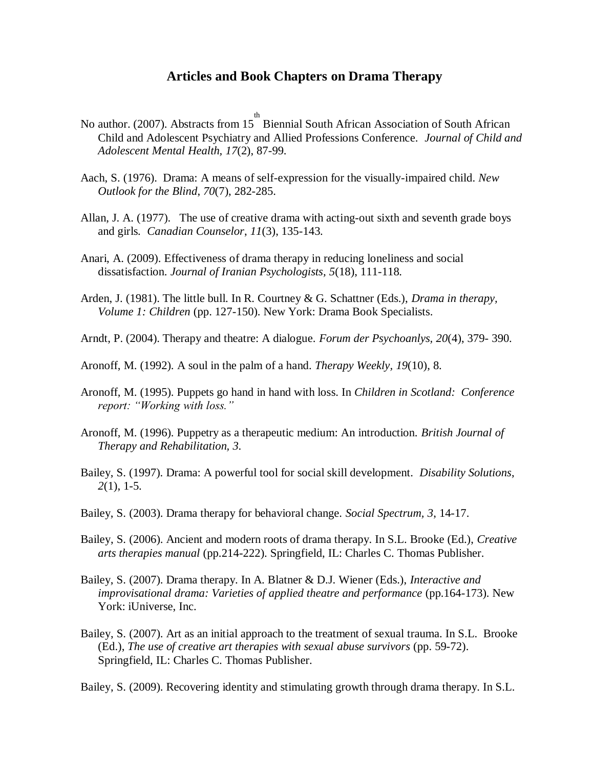## **Articles and Book Chapters on Drama Therapy**

- No author. (2007). Abstracts from 15 Biennial South African Association of South African th Child and Adolescent Psychiatry and Allied Professions Conference. *Journal of Child and Adolescent Mental Health, 17*(2), 87-99.
- Aach, S. (1976). Drama: A means of self-expression for the visually-impaired child. *New Outlook for the Blind*, *70*(7), 282-285.
- Allan, J. A. (1977). The use of creative drama with acting-out sixth and seventh grade boys and girls*. Canadian Counselor*, *11*(3), 135-143.
- Anari, A. (2009). [Effectiveness of drama therapy in reducing loneliness and social](http://csaweb111v.csa.com.er.lib.k-state.edu/ids70/view_record.php?id=2&recnum=33&log=from_res&SID=2krd1ml025thfkf51or5ip0uk0)  [dissatisfaction.](http://csaweb111v.csa.com.er.lib.k-state.edu/ids70/view_record.php?id=2&recnum=33&log=from_res&SID=2krd1ml025thfkf51or5ip0uk0) *Journal of Iranian Psychologists, 5*(18), 111-118.
- Arden, J. (1981). The little bull. In R. Courtney & G. Schattner (Eds.), *Drama in therapy, Volume 1: Children* (pp. 127-150). New York: Drama Book Specialists.
- Arndt, P. (2004). Therapy and theatre: A dialogue. *Forum der Psychoanlys, 20*(4), 379- 390.
- Aronoff, M. (1992). A soul in the palm of a hand. *Therapy Weekly, 19*(10), 8.
- Aronoff, M. (1995). Puppets go hand in hand with loss. In *Children in Scotland: Conference report: "Working with loss."*
- Aronoff, M. (1996). Puppetry as a therapeutic medium: An introduction. *British Journal of Therapy and Rehabilitation, 3*.
- Bailey, S. (1997). Drama: A powerful tool for social skill development. *Disability Solutions*, *2*(1), 1-5.
- Bailey, S. (2003). Drama therapy for behavioral change. *Social Spectrum, 3*, 14-17.
- Bailey, S. (2006). Ancient and modern roots of drama therapy. In S.L. Brooke (Ed.), *Creative arts therapies manual* (pp.214-222). Springfield, IL: Charles C. Thomas Publisher.
- Bailey, S. (2007). Drama therapy. In A. Blatner & D.J. Wiener (Eds.), *Interactive and improvisational drama: Varieties of applied theatre and performance (pp.164-173).* New York: iUniverse, Inc.
- Bailey, S. (2007). Art as an initial approach to the treatment of sexual trauma. In S.L. Brooke (Ed.), *The use of creative art therapies with sexual abuse survivors* (pp. 59-72). Springfield, IL: Charles C. Thomas Publisher.

Bailey, S. (2009). Recovering identity and stimulating growth through drama therapy. In S.L.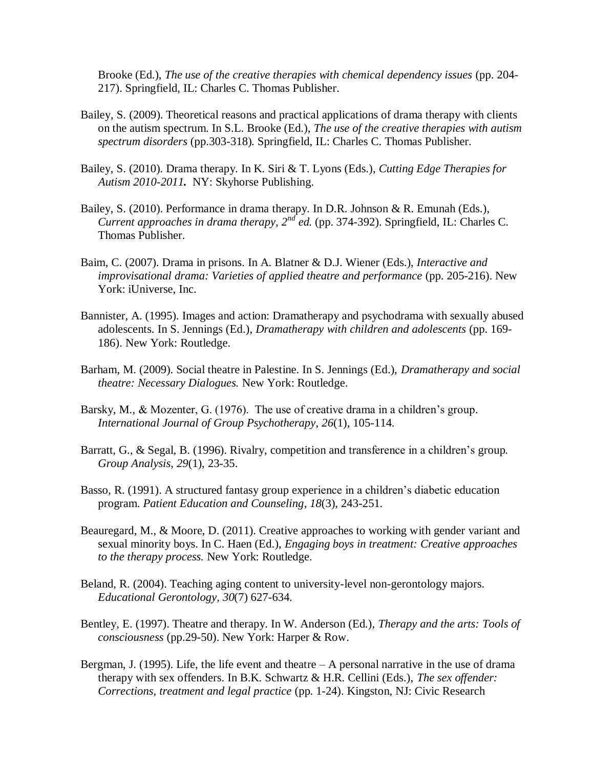Brooke (Ed.), *The use of the creative therapies with chemical dependency issues* (pp. 204- 217). Springfield, IL: Charles C. Thomas Publisher.

- Bailey, S. (2009). Theoretical reasons and practical applications of drama therapy with clients on the autism spectrum. In S.L. Brooke (Ed.), *The use of the creative therapies with autism spectrum disorders* (pp.303-318)*.* Springfield, IL: Charles C. Thomas Publisher.
- Bailey, S. (2010). Drama therapy. In K. Siri & T. Lyons (Eds.), *Cutting Edge Therapies for Autism 2010-2011.* NY: Skyhorse Publishing.
- Bailey, S. (2010). Performance in drama therapy. In D.R. Johnson & R. Emunah (Eds.), *Current approaches in drama therapy, 2nd ed.* (pp. 374-392). Springfield, IL: Charles C. Thomas Publisher.
- Baim, C. (2007). Drama in prisons. In A. Blatner & D.J. Wiener (Eds.), *Interactive and improvisational drama: Varieties of applied theatre and performance* (pp. 205-216). New York: iUniverse, Inc.
- Bannister, A. (1995). Images and action: Dramatherapy and psychodrama with sexually abused adolescents. In S. Jennings (Ed.), *Dramatherapy with children and adolescents* (pp. 169- 186). New York: Routledge.
- Barham, M. (2009). Social theatre in Palestine. In S. Jennings (Ed.), *Dramatherapy and social theatre: Necessary Dialogues.* New York: Routledge.
- Barsky, M., & Mozenter, G. (1976). The use of creative drama in a children's group*. International Journal of Group Psychotherapy*, *26*(1), 105-114.
- Barratt, G., & Segal, B. (1996). Rivalry, competition and transference in a children's group*. Group Analysis*, *29*(1), 23-35.
- Basso, R. (1991). A structured fantasy group experience in a children's diabetic education program. *Patient Education and Counseling, 18*(3), 243-251.
- Beauregard, M., & Moore, D. (2011). Creative approaches to working with gender variant and sexual minority boys. In C. Haen (Ed.), *Engaging boys in treatment: Creative approaches to the therapy process.* New York: Routledge.
- Beland, R. (2004). Teaching aging content to university-level non-gerontology majors. *Educational Gerontology, 30*(7) 627-634.
- Bentley, E. (1997). Theatre and therapy. In W. Anderson (Ed.), *Therapy and the arts: Tools of consciousness* (pp.29-50). New York: Harper & Row.
- Bergman, J. (1995). Life, the life event and theatre  $-A$  personal narrative in the use of drama therapy with sex offenders. In B.K. Schwartz & H.R. Cellini (Eds.), *The sex offender: Corrections, treatment and legal practice* (pp. 1-24). Kingston, NJ: Civic Research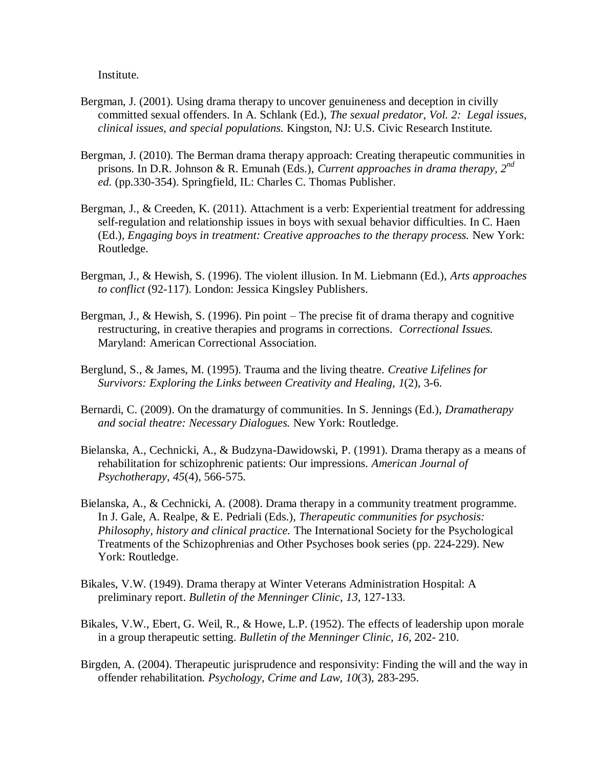Institute.

- Bergman, J. (2001). Using drama therapy to uncover genuineness and deception in civilly committed sexual offenders. In A. Schlank (Ed.), *The sexual predator, Vol. 2: Legal issues, clinical issues, and special populations.* Kingston, NJ: U.S. Civic Research Institute.
- Bergman, J. (2010). The Berman drama therapy approach: Creating therapeutic communities in prisons. In D.R. Johnson & R. Emunah (Eds.), *Current approaches in drama therapy, 2nd ed.* (pp.330-354). Springfield, IL: Charles C. Thomas Publisher.
- Bergman, J., & Creeden, K. (2011). Attachment is a verb: Experiential treatment for addressing self-regulation and relationship issues in boys with sexual behavior difficulties. In C. Haen (Ed.), *Engaging boys in treatment: Creative approaches to the therapy process.* New York: Routledge.
- Bergman, J., & Hewish, S. (1996). The violent illusion. In M. Liebmann (Ed.), *Arts approaches to conflict* (92-117). London: Jessica Kingsley Publishers.
- Bergman, J., & Hewish, S. (1996). Pin point The precise fit of drama therapy and cognitive restructuring, in creative therapies and programs in corrections. *Correctional Issues.* Maryland: American Correctional Association.
- Berglund, S., & James, M. (1995). Trauma and the living theatre. *Creative Lifelines for Survivors: Exploring the Links between Creativity and Healing, 1*(2), 3-6.
- Bernardi, C. (2009). On the dramaturgy of communities. In S. Jennings (Ed.), *Dramatherapy and social theatre: Necessary Dialogues.* New York: Routledge.
- Bielanska, A., Cechnicki, A., & Budzyna-Dawidowski, P. (1991). Drama therapy as a means of rehabilitation for schizophrenic patients: Our impressions*. American Journal of Psychotherapy*, *45*(4), 566-575.
- Bielanska, A., & Cechnicki, A. (2008). Drama therapy in a community treatment programme. In J. Gale, A. Realpe, & E. Pedriali (Eds.), *Therapeutic communities for psychosis: Philosophy, history and clinical practice.* The International Society for the Psychological Treatments of the Schizophrenias and Other Psychoses book series (pp. 224-229). New York: Routledge.
- Bikales, V.W. (1949). Drama therapy at Winter Veterans Administration Hospital: A preliminary report. *Bulletin of the Menninger Clinic, 13*, 127-133.
- Bikales, V.W., Ebert, G. Weil, R., & Howe, L.P. (1952). The effects of leadership upon morale in a group therapeutic setting. *Bulletin of the Menninger Clinic, 16*, 202- 210.
- Birgden, A. (2004). Therapeutic jurisprudence and responsivity: Finding the will and the way in offender rehabilitation. *Psychology, Crime and Law, 10*(3), 283-295.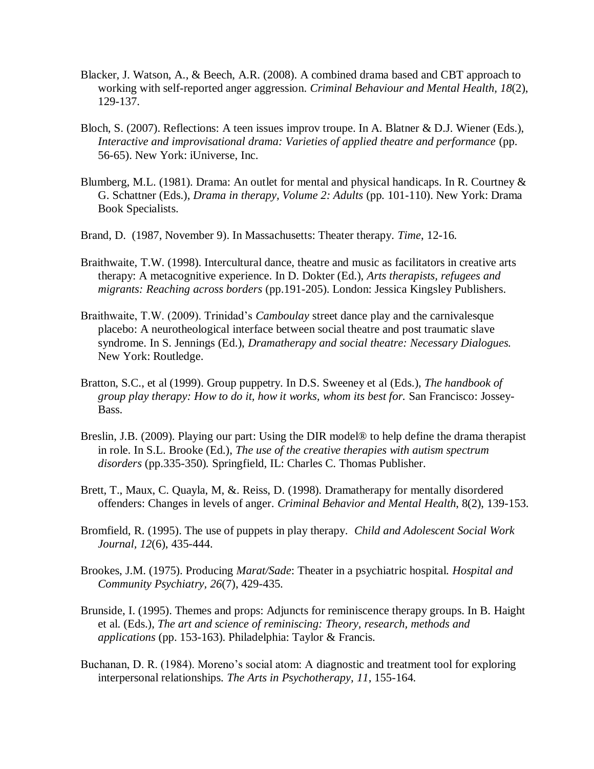- Blacker, J. Watson, A., & Beech, A.R. (2008). A combined drama based and CBT approach to working with self-reported anger aggression. *Criminal Behaviour and Mental Health, 18*(2), 129-137.
- Bloch, S. (2007). Reflections: A teen issues improv troupe. In A. Blatner & D.J. Wiener (Eds.), *Interactive and improvisational drama: Varieties of applied theatre and performance* (pp. 56-65). New York: iUniverse, Inc.
- Blumberg, M.L. (1981). Drama: An outlet for mental and physical handicaps. In R. Courtney & G. Schattner (Eds.), *Drama in therapy, Volume 2: Adults* (pp. 101-110). New York: Drama Book Specialists.
- Brand, D. (1987, November 9). In Massachusetts: Theater therapy*. Time*, 12-16.
- Braithwaite, T.W. (1998). Intercultural dance, theatre and music as facilitators in creative arts therapy: A metacognitive experience. In D. Dokter (Ed.), *Arts therapists, refugees and migrants: Reaching across borders* (pp.191-205). London: Jessica Kingsley Publishers.
- Braithwaite, T.W. (2009). Trinidad's *Camboulay* street dance play and the carnivalesque placebo: A neurotheological interface between social theatre and post traumatic slave syndrome. In S. Jennings (Ed.), *Dramatherapy and social theatre: Necessary Dialogues.* New York: Routledge.
- Bratton, S.C., et al (1999). Group puppetry. In D.S. Sweeney et al (Eds.), *The handbook of group play therapy: How to do it, how it works, whom its best for.* San Francisco: Jossey-Bass.
- Breslin, J.B. (2009). Playing our part: Using the DIR model® to help define the drama therapist in role. In S.L. Brooke (Ed.), *The use of the creative therapies with autism spectrum disorders* (pp.335-350)*.* Springfield, IL: Charles C. Thomas Publisher.
- Brett, T., Maux, C. Quayla, M, &. Reiss, D. (1998). Dramatherapy for mentally disordered offenders: Changes in levels of anger. *Criminal Behavior and Mental Health*, 8(2), 139-153.
- Bromfield, R. (1995). The use of puppets in play therapy*. Child and Adolescent Social Work Journal, 12*(6), 435-444.
- Brookes, J.M. (1975). Producing *Marat/Sade*: Theater in a psychiatric hospital. *Hospital and Community Psychiatry, 26*(7), 429-435.
- Brunside, I. (1995). Themes and props: Adjuncts for reminiscence therapy groups. In B. Haight et al. (Eds.), *The art and science of reminiscing: Theory, research, methods and applications* (pp. 153-163). Philadelphia: Taylor & Francis.
- Buchanan, D. R. (1984). Moreno's social atom: A diagnostic and treatment tool for exploring interpersonal relationships*. The Arts in Psychotherapy, 11*, 155-164.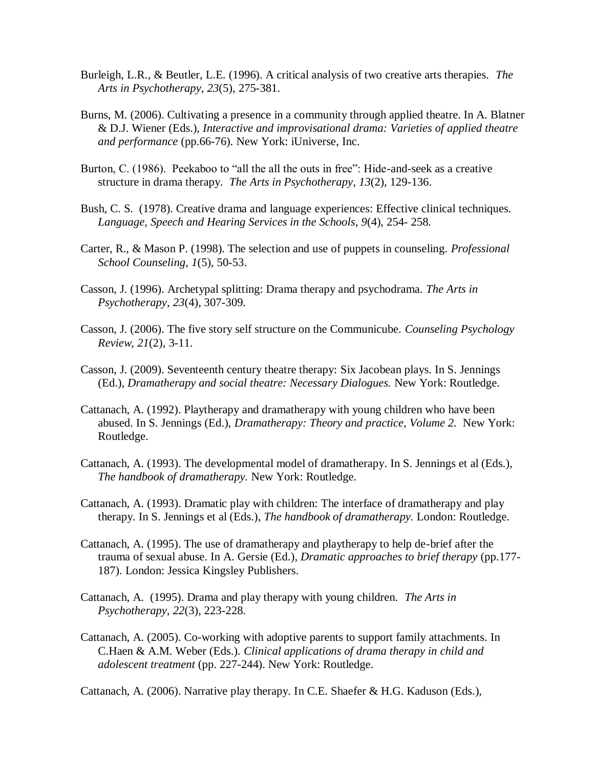- Burleigh, L.R., & Beutler, L.E. (1996). A critical analysis of two creative arts therapies. *The Arts in Psychotherapy, 23*(5), 275-381.
- Burns, M. (2006). Cultivating a presence in a community through applied theatre. In A. Blatner & D.J. Wiener (Eds.), *Interactive and improvisational drama: Varieties of applied theatre and performance* (pp.66-76). New York: iUniverse, Inc.
- Burton, C. (1986). Peekaboo to "all the all the outs in free": Hide-and-seek as a creative structure in drama therapy. *The Arts in Psychotherapy*, *13*(2), 129-136.
- Bush, C. S. (1978). Creative drama and language experiences: Effective clinical techniques. *Language, Speech and Hearing Services in the Schools*, *9*(4), 254- 258.
- Carter, R., & Mason P. (1998). The selection and use of puppets in counseling. *Professional School Counseling, 1*(5), 50-53.
- Casson, J. (1996). Archetypal splitting: Drama therapy and psychodrama*. The Arts in Psychotherapy*, *23*(4), 307-309.
- Casson, J. (2006). The five story self structure on the Communicube. *Counseling Psychology Review, 21*(2), 3-11.
- Casson, J. (2009). Seventeenth century theatre therapy: Six Jacobean plays. In S. Jennings (Ed.), *Dramatherapy and social theatre: Necessary Dialogues.* New York: Routledge.
- Cattanach, A. (1992). Playtherapy and dramatherapy with young children who have been abused. In S. Jennings (Ed.), *Dramatherapy: Theory and practice, Volume 2.* New York: Routledge.
- Cattanach, A. (1993). The developmental model of dramatherapy. In S. Jennings et al (Eds.), *The handbook of dramatherapy.* New York: Routledge.
- Cattanach, A. (1993). Dramatic play with children: The interface of dramatherapy and play therapy. In S. Jennings et al (Eds.), *The handbook of dramatherapy.* London: Routledge.
- Cattanach, A. (1995). The use of dramatherapy and playtherapy to help de-brief after the trauma of sexual abuse. In A. Gersie (Ed.), *Dramatic approaches to brief therapy* (pp.177- 187)*.* London: Jessica Kingsley Publishers.
- Cattanach, A. (1995). Drama and play therapy with young children. *The Arts in Psychotherapy, 22*(3), 223-228.
- Cattanach, A. (2005). Co-working with adoptive parents to support family attachments. In C.Haen & A.M. Weber (Eds.). *Clinical applications of drama therapy in child and adolescent treatment* (pp. 227-244). New York: Routledge.

Cattanach, A. (2006). Narrative play therapy. In C.E. Shaefer & H.G. Kaduson (Eds.),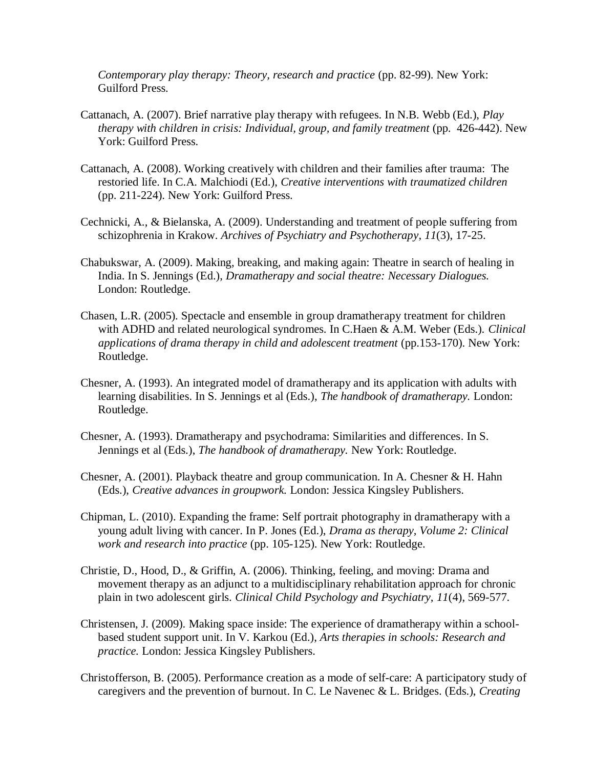*Contemporary play therapy: Theory, research and practice* (pp. 82-99). New York: Guilford Press.

- Cattanach, A. (2007). Brief narrative play therapy with refugees. In N.B. Webb (Ed.), *Play therapy with children in crisis: Individual, group, and family treatment (pp. 426-442). New* York: Guilford Press.
- Cattanach, A. (2008). Working creatively with children and their families after trauma: The restoried life. In C.A. Malchiodi (Ed.), *Creative interventions with traumatized children* (pp. 211-224). New York: Guilford Press.
- Cechnicki, A., & Bielanska, A. (2009). Understanding and treatment of people suffering from schizophrenia in Krakow. *Archives of Psychiatry and Psychotherapy, 11*(3), 17-25.
- Chabukswar, A. (2009). Making, breaking, and making again: Theatre in search of healing in India. In S. Jennings (Ed.), *Dramatherapy and social theatre: Necessary Dialogues.*  London: Routledge.
- Chasen, L.R. (2005). Spectacle and ensemble in group dramatherapy treatment for children with ADHD and related neurological syndromes. In C.Haen & A.M. Weber (Eds.). *Clinical applications of drama therapy in child and adolescent treatment* (pp.153-170). New York: Routledge.
- Chesner, A. (1993). An integrated model of dramatherapy and its application with adults with learning disabilities. In S. Jennings et al (Eds.), *The handbook of dramatherapy.* London: Routledge.
- Chesner, A. (1993). Dramatherapy and psychodrama: Similarities and differences. In S. Jennings et al (Eds.), *The handbook of dramatherapy.* New York: Routledge.
- Chesner, A. (2001). Playback theatre and group communication. In A. Chesner & H. Hahn (Eds.), *Creative advances in groupwork.* London: Jessica Kingsley Publishers.
- Chipman, L. (2010). Expanding the frame: Self portrait photography in dramatherapy with a young adult living with cancer. In P. Jones (Ed.), *Drama as therapy, Volume 2: Clinical work and research into practice* (pp. 105-125). New York: Routledge.
- Christie, D., Hood, D., & Griffin, A. (2006). Thinking, feeling, and moving: Drama and movement therapy as an adjunct to a multidisciplinary rehabilitation approach for chronic plain in two adolescent girls. *Clinical Child Psychology and Psychiatry, 11*(4), 569-577.
- Christensen, J. (2009). Making space inside: The experience of dramatherapy within a schoolbased student support unit. In V. Karkou (Ed.), *Arts therapies in schools: Research and practice.* London: Jessica Kingsley Publishers.
- Christofferson, B. (2005). Performance creation as a mode of self-care: A participatory study of caregivers and the prevention of burnout. In C. Le Navenec & L. Bridges. (Eds.), *Creating*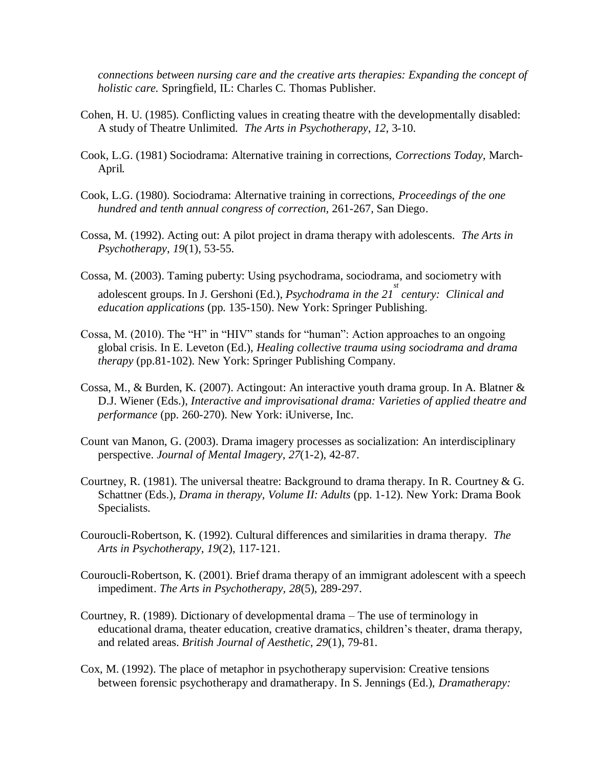*connections between nursing care and the creative arts therapies: Expanding the concept of holistic care.* Springfield, IL: Charles C. Thomas Publisher.

- Cohen, H. U. (1985). Conflicting values in creating theatre with the developmentally disabled: A study of Theatre Unlimited*. The Arts in Psychotherapy*, *12*, 3-10.
- Cook, L.G. (1981) Sociodrama: Alternative training in corrections, *Corrections Today,* March-April*.*
- Cook, L.G. (1980). Sociodrama: Alternative training in corrections, *Proceedings of the one hundred and tenth annual congress of correction,* 261-267, San Diego.
- Cossa, M. (1992). Acting out: A pilot project in drama therapy with adolescents. *The Arts in Psychotherapy*, *19*(1), 53-55.
- Cossa, M. (2003). Taming puberty: Using psychodrama, sociodrama, and sociometry with adolescent groups. In J. Gershoni (Ed.), *Psychodrama in the 21<sup>st</sup> century: Clinical and education applications* (pp. 135-150). New York: Springer Publishing.
- Cossa, M. (2010). The "H" in "HIV" stands for "human": Action approaches to an ongoing global crisis. In E. Leveton (Ed.), *Healing collective trauma using sociodrama and drama therapy* (pp.81-102). New York: Springer Publishing Company.
- Cossa, M., & Burden, K. (2007). Actingout: An interactive youth drama group. In A. Blatner & D.J. Wiener (Eds.), *Interactive and improvisational drama: Varieties of applied theatre and performance* (pp. 260-270). New York: iUniverse, Inc.
- Count van Manon, G. (2003). Drama imagery processes as socialization: An interdisciplinary perspective. *Journal of Mental Imagery, 27*(1-2), 42-87.
- Courtney, R. (1981). The universal theatre: Background to drama therapy. In R. Courtney & G. Schattner (Eds.), *Drama in therapy, Volume II: Adults* (pp. 1-12). New York: Drama Book Specialists.
- Couroucli-Robertson, K. (1992). Cultural differences and similarities in drama therapy. *The Arts in Psychotherapy*, *19*(2), 117-121.
- Couroucli-Robertson, K. (2001). Brief drama therapy of an immigrant adolescent with a speech impediment. *The Arts in Psychotherapy, 28*(5), 289-297.
- Courtney, R. (1989). Dictionary of developmental drama The use of terminology in educational drama, theater education, creative dramatics, children's theater, drama therapy, and related areas. *British Journal of Aesthetic, 29*(1), 79-81.
- Cox, M. (1992). The place of metaphor in psychotherapy supervision: Creative tensions between forensic psychotherapy and dramatherapy. In S. Jennings (Ed.), *Dramatherapy:*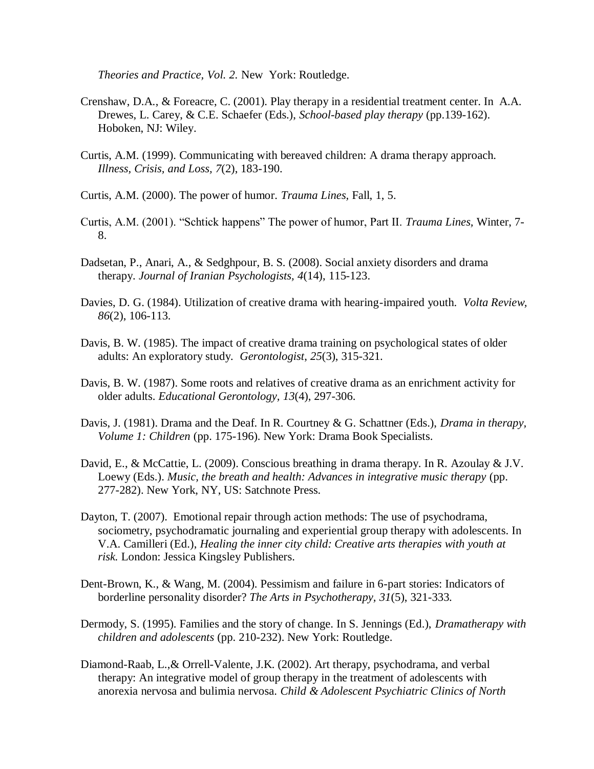*Theories and Practice, Vol. 2.* New York: Routledge.

- Crenshaw, D.A., & Foreacre, C. (2001). Play therapy in a residential treatment center. In A.A. Drewes, L. Carey, & C.E. Schaefer (Eds.), *School-based play therapy* (pp.139-162). Hoboken, NJ: Wiley.
- Curtis, A.M. (1999). Communicating with bereaved children: A drama therapy approach. *Illness, Crisis, and Loss, 7*(2), 183-190.
- Curtis, A.M. (2000). The power of humor. *Trauma Lines,* Fall, 1, 5.
- Curtis, A.M. (2001). "Schtick happens" The power of humor, Part II. *Trauma Lines*, Winter, 7-8.
- Dadsetan, P., Anari, A., & Sedghpour, B. S. (2008). Social anxiety disorders and drama therapy. *Journal of Iranian Psychologists, 4*(14), 115-123.
- Davies, D. G. (1984). Utilization of creative drama with hearing-impaired youth. *Volta Review, 86*(2), 106-113.
- Davis, B. W. (1985). The impact of creative drama training on psychological states of older adults: An exploratory study*. Gerontologist*, *25*(3), 315-321.
- Davis, B. W. (1987). Some roots and relatives of creative drama as an enrichment activity for older adults. *Educational Gerontology, 13*(4), 297-306.
- Davis, J. (1981). Drama and the Deaf. In R. Courtney & G. Schattner (Eds.), *Drama in therapy, Volume 1: Children* (pp. 175-196). New York: Drama Book Specialists.
- David, E., & McCattie, L. (2009). Conscious breathing in drama therapy. In R. Azoulay & J.V. Loewy (Eds.). *Music, the breath and health: Advances in integrative music therapy* (pp. 277-282). New York, NY, US: Satchnote Press.
- Dayton, T. (2007). Emotional repair through action methods: The use of psychodrama, sociometry, psychodramatic journaling and experiential group therapy with adolescents. In V.A. Camilleri (Ed.), *Healing the inner city child: Creative arts therapies with youth at risk.* London: Jessica Kingsley Publishers.
- Dent-Brown, K., & Wang, M. (2004). Pessimism and failure in 6-part stories: Indicators of borderline personality disorder? *The Arts in Psychotherapy, 31*(5), 321-333.
- Dermody, S. (1995). Families and the story of change. In S. Jennings (Ed.), *Dramatherapy with children and adolescents* (pp. 210-232). New York: Routledge.
- Diamond-Raab, L.,& Orrell-Valente, J.K. (2002). Art therapy, psychodrama, and verbal therapy: An integrative model of group therapy in the treatment of adolescents with anorexia nervosa and bulimia nervosa. *Child & Adolescent Psychiatric Clinics of North*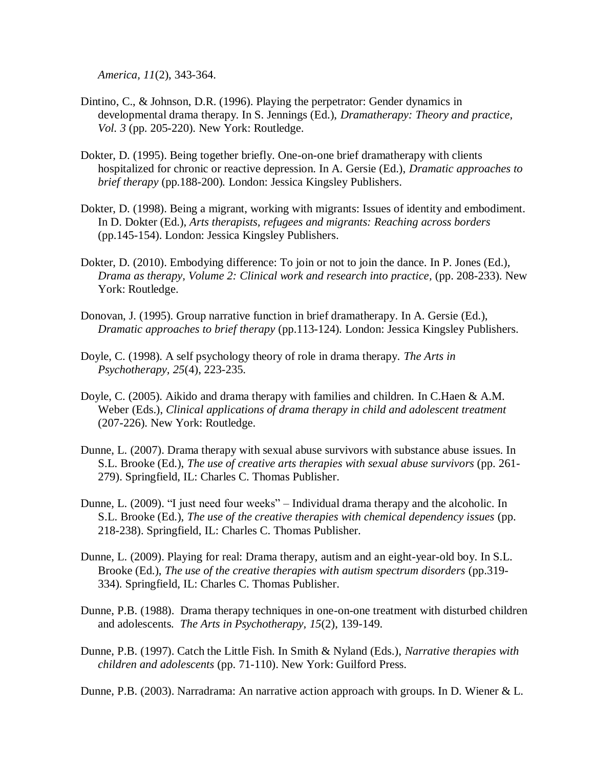*America, 11*(2), 343-364.

- Dintino, C., & Johnson, D.R. (1996). Playing the perpetrator: Gender dynamics in developmental drama therapy. In S. Jennings (Ed.), *Dramatherapy: Theory and practice, Vol. 3* (pp. 205-220). New York: Routledge.
- Dokter, D. (1995). Being together briefly. One-on-one brief dramatherapy with clients hospitalized for chronic or reactive depression. In A. Gersie (Ed.), *Dramatic approaches to brief therapy* (pp.188-200)*.* London: Jessica Kingsley Publishers.
- Dokter, D. (1998). Being a migrant, working with migrants: Issues of identity and embodiment. In D. Dokter (Ed.), *Arts therapists, refugees and migrants: Reaching across borders*  (pp.145-154). London: Jessica Kingsley Publishers.
- Dokter, D. (2010). Embodying difference: To join or not to join the dance. In P. Jones (Ed.), *Drama as therapy, Volume 2: Clinical work and research into practice,* (pp. 208-233). New York: Routledge.
- Donovan, J. (1995). Group narrative function in brief dramatherapy. In A. Gersie (Ed.), *Dramatic approaches to brief therapy* (pp.113-124)*.* London: Jessica Kingsley Publishers.
- Doyle, C. (1998). A self psychology theory of role in drama therapy. *The Arts in Psychotherapy, 25*(4), 223-235.
- Doyle, C. (2005). Aikido and drama therapy with families and children. In C.Haen & A.M. Weber (Eds.), *Clinical applications of drama therapy in child and adolescent treatment* (207-226). New York: Routledge.
- Dunne, L. (2007). Drama therapy with sexual abuse survivors with substance abuse issues. In S.L. Brooke (Ed.), *The use of creative arts therapies with sexual abuse survivors* (pp. 261- 279). Springfield, IL: Charles C. Thomas Publisher.
- Dunne, L. (2009). "I just need four weeks" Individual drama therapy and the alcoholic. In S.L. Brooke (Ed.), *The use of the creative therapies with chemical dependency issues* (pp. 218-238). Springfield, IL: Charles C. Thomas Publisher.
- Dunne, L. (2009). Playing for real: Drama therapy, autism and an eight-year-old boy. In S.L. Brooke (Ed.), *The use of the creative therapies with autism spectrum disorders* (pp.319- 334)*.* Springfield, IL: Charles C. Thomas Publisher.
- Dunne, P.B. (1988). Drama therapy techniques in one-on-one treatment with disturbed children and adolescents*. The Arts in Psychotherapy, 15*(2), 139-149.
- Dunne, P.B. (1997). Catch the Little Fish. In Smith & Nyland (Eds.), *Narrative therapies with children and adolescents* (pp. 71-110). New York: Guilford Press.

Dunne, P.B. (2003). Narradrama: An narrative action approach with groups. In D. Wiener & L.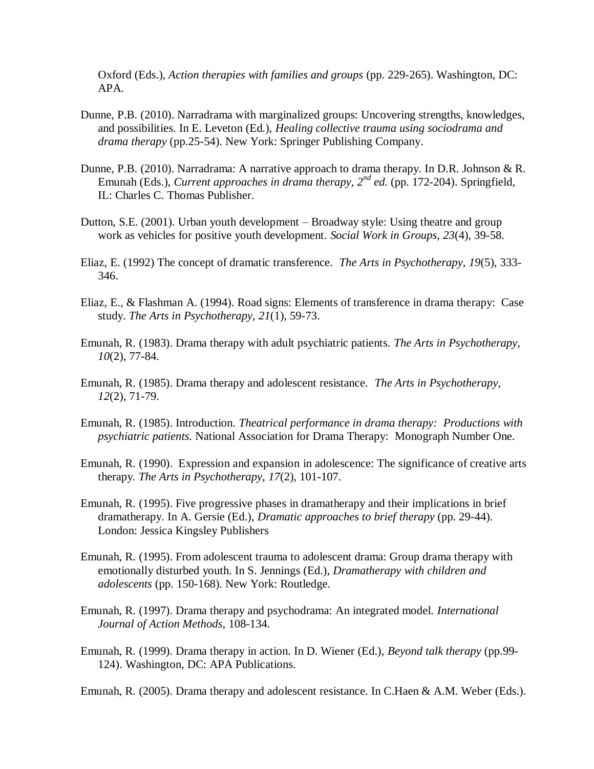Oxford (Eds.), *Action therapies with families and groups* (pp. 229-265). Washington, DC: APA.

- Dunne, P.B. (2010). Narradrama with marginalized groups: Uncovering strengths, knowledges, and possibilities. In E. Leveton (Ed.), *Healing collective trauma using sociodrama and drama therapy* (pp.25-54). New York: Springer Publishing Company.
- Dunne, P.B. (2010). Narradrama: A narrative approach to drama therapy. In D.R. Johnson & R. Emunah (Eds.), *Current approaches in drama therapy*,  $2^{nd}$  *ed.* (pp. 172-204). Springfield, IL: Charles C. Thomas Publisher.
- Dutton, S.E. (2001). Urban youth development Broadway style: Using theatre and group work as vehicles for positive youth development. *Social Work in Groups, 23*(4), 39-58.
- Eliaz, E. (1992) The concept of dramatic transference*. The Arts in Psychotherapy, 19*(5), 333- 346.
- Eliaz, E., & Flashman A. (1994). Road signs: Elements of transference in drama therapy: Case study. *The Arts in Psychotherapy, 21*(1), 59-73.
- Emunah, R. (1983). Drama therapy with adult psychiatric patients. *The Arts in Psychotherapy, 10*(2), 77-84.
- Emunah, R. (1985). Drama therapy and adolescent resistance. *The Arts in Psychotherapy*, *12*(2), 71-79.
- Emunah, R. (1985). Introduction. *Theatrical performance in drama therapy: Productions with psychiatric patients.* National Association for Drama Therapy: Monograph Number One.
- Emunah, R. (1990). Expression and expansion in adolescence: The significance of creative arts therapy*. The Arts in Psychotherapy, 17*(2), 101-107.
- Emunah, R. (1995). Five progressive phases in dramatherapy and their implications in brief dramatherapy. In A. Gersie (Ed.), *Dramatic approaches to brief therapy* (pp. 29-44). London: Jessica Kingsley Publishers
- Emunah, R. (1995). From adolescent trauma to adolescent drama: Group drama therapy with emotionally disturbed youth. In S. Jennings (Ed.), *Dramatherapy with children and adolescents* (pp. 150-168). New York: Routledge.
- Emunah, R. (1997). Drama therapy and psychodrama: An integrated model. *International Journal of Action Methods,* 108-134*.*
- Emunah, R. (1999). Drama therapy in action. In D. Wiener (Ed.), *Beyond talk therapy* (pp.99- 124). Washington, DC: APA Publications.

Emunah, R. (2005). Drama therapy and adolescent resistance. In C.Haen & A.M. Weber (Eds.).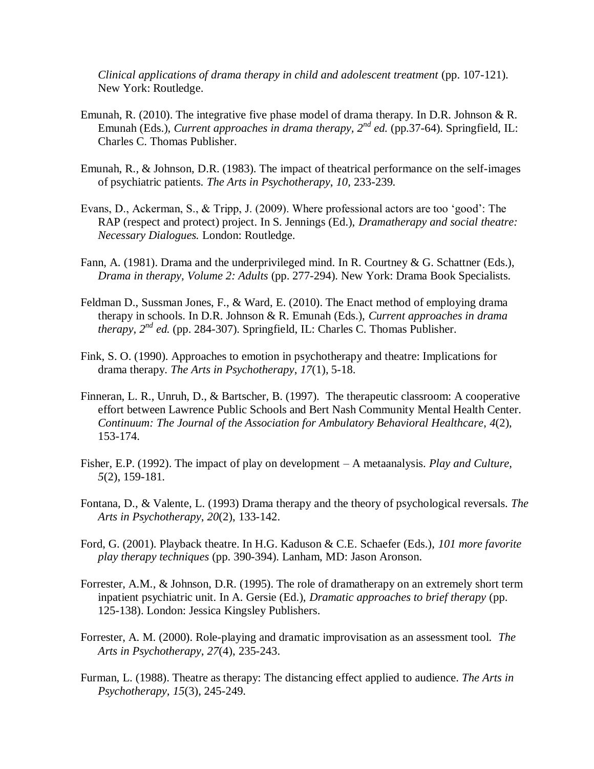*Clinical applications of drama therapy in child and adolescent treatment* (pp. 107-121). New York: Routledge.

- Emunah, R. (2010). The integrative five phase model of drama therapy. In D.R. Johnson & R. Emunah (Eds.), *Current approaches in drama therapy*,  $2^{nd}$  *ed.* (pp.37-64). Springfield, IL: Charles C. Thomas Publisher.
- Emunah, R., & Johnson, D.R. (1983). The impact of theatrical performance on the self-images of psychiatric patients. *The Arts in Psychotherapy*, *10*, 233-239.
- Evans, D., Ackerman, S., & Tripp, J. (2009). Where professional actors are too 'good': The RAP (respect and protect) project. In S. Jennings (Ed.), *Dramatherapy and social theatre: Necessary Dialogues.* London: Routledge.
- Fann, A. (1981). Drama and the underprivileged mind. In R. Courtney & G. Schattner (Eds.), *Drama in therapy, Volume 2: Adults* (pp. 277-294). New York: Drama Book Specialists.
- Feldman D., Sussman Jones, F., & Ward, E. (2010). The Enact method of employing drama therapy in schools. In D.R. Johnson & R. Emunah (Eds.), *Current approaches in drama therapy, 2nd ed.* (pp. 284-307). Springfield, IL: Charles C. Thomas Publisher.
- Fink, S. O. (1990). Approaches to emotion in psychotherapy and theatre: Implications for drama therapy. *The Arts in Psychotherapy*, *17*(1), 5-18.
- Finneran, L. R., Unruh, D., & Bartscher, B. (1997). The therapeutic classroom: A cooperative effort between Lawrence Public Schools and Bert Nash Community Mental Health Center. *Continuum: The Journal of the Association for Ambulatory Behavioral Healthcare*, *4*(2), 153-174.
- Fisher, E.P. (1992). The impact of play on development A metaanalysis. *Play and Culture, 5*(2), 159-181.
- Fontana, D., & Valente, L. (1993) Drama therapy and the theory of psychological reversals. *The Arts in Psychotherapy*, *20*(2), 133-142.
- Ford, G. (2001). Playback theatre. In H.G. Kaduson & C.E. Schaefer (Eds.), *101 more favorite play therapy techniques* (pp. 390-394). Lanham, MD: Jason Aronson.
- Forrester, A.M., & Johnson, D.R. (1995). The role of dramatherapy on an extremely short term inpatient psychiatric unit. In A. Gersie (Ed.), *Dramatic approaches to brief therapy* (pp. 125-138). London: Jessica Kingsley Publishers.
- Forrester, A. M. (2000). Role-playing and dramatic improvisation as an assessment tool. *The Arts in Psychotherapy, 27*(4), 235-243.
- Furman, L. (1988). Theatre as therapy: The distancing effect applied to audience. *The Arts in Psychotherapy, 15*(3), 245-249.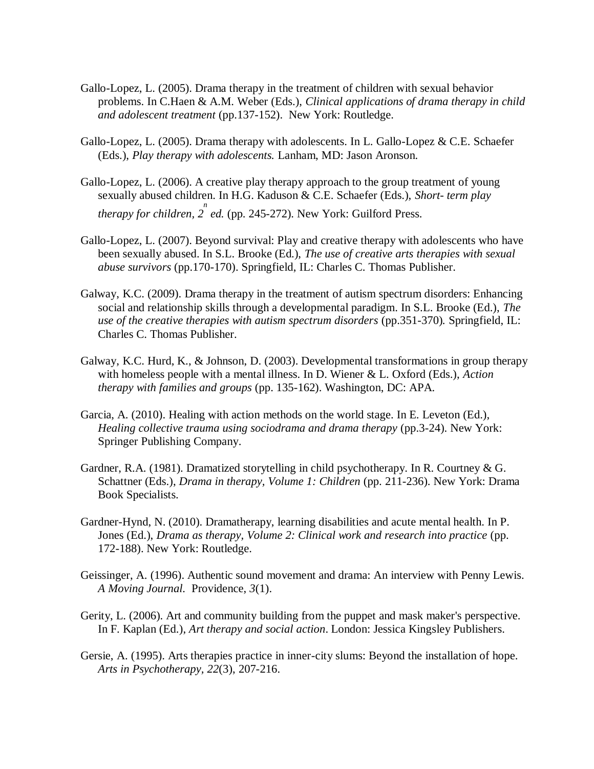- Gallo-Lopez, L. (2005). Drama therapy in the treatment of children with sexual behavior problems. In C.Haen & A.M. Weber (Eds.), *Clinical applications of drama therapy in child and adolescent treatment* (pp.137-152). New York: Routledge.
- Gallo-Lopez, L. (2005). Drama therapy with adolescents. In L. Gallo-Lopez & C.E. Schaefer (Eds.), *Play therapy with adolescents.* Lanham, MD: Jason Aronson.
- Gallo-Lopez, L. (2006). A creative play therapy approach to the group treatment of young sexually abused children. In H.G. Kaduson & C.E. Schaefer (Eds.), *Short- term play therapy for children, 2 n ed.* (pp. 245-272). New York: Guilford Press.
- Gallo-Lopez, L. (2007). Beyond survival: Play and creative therapy with adolescents who have been sexually abused. In S.L. Brooke (Ed.), *The use of creative arts therapies with sexual abuse survivors* (pp.170-170). Springfield, IL: Charles C. Thomas Publisher.
- Galway, K.C. (2009). Drama therapy in the treatment of autism spectrum disorders: Enhancing social and relationship skills through a developmental paradigm. In S.L. Brooke (Ed.), *The use of the creative therapies with autism spectrum disorders* (pp.351-370)*.* Springfield, IL: Charles C. Thomas Publisher.
- Galway, K.C. Hurd, K., & Johnson, D. (2003). Developmental transformations in group therapy with homeless people with a mental illness. In D. Wiener & L. Oxford (Eds.), *Action therapy with families and groups* (pp. 135-162). Washington, DC: APA.
- Garcia, A. (2010). Healing with action methods on the world stage. In E. Leveton (Ed.), *Healing collective trauma using sociodrama and drama therapy* (pp.3-24). New York: Springer Publishing Company.
- Gardner, R.A. (1981). Dramatized storytelling in child psychotherapy. In R. Courtney & G. Schattner (Eds.), *Drama in therapy, Volume 1: Children* (pp. 211-236). New York: Drama Book Specialists.
- Gardner-Hynd, N. (2010). Dramatherapy, learning disabilities and acute mental health. In P. Jones (Ed.), *Drama as therapy, Volume 2: Clinical work and research into practice* (pp. 172-188). New York: Routledge.
- Geissinger, A. (1996). Authentic sound movement and drama: An interview with Penny Lewis. *A Moving Journal.* Providence, *3*(1).
- Gerity, L. (2006). Art and community building from the puppet and mask maker's perspective. In F. Kaplan (Ed.), *Art therapy and social action*. London: Jessica Kingsley Publishers.
- Gersie, A. (1995). Arts therapies practice in inner-city slums: Beyond the installation of hope. *Arts in Psychotherapy, 22*(3), 207-216.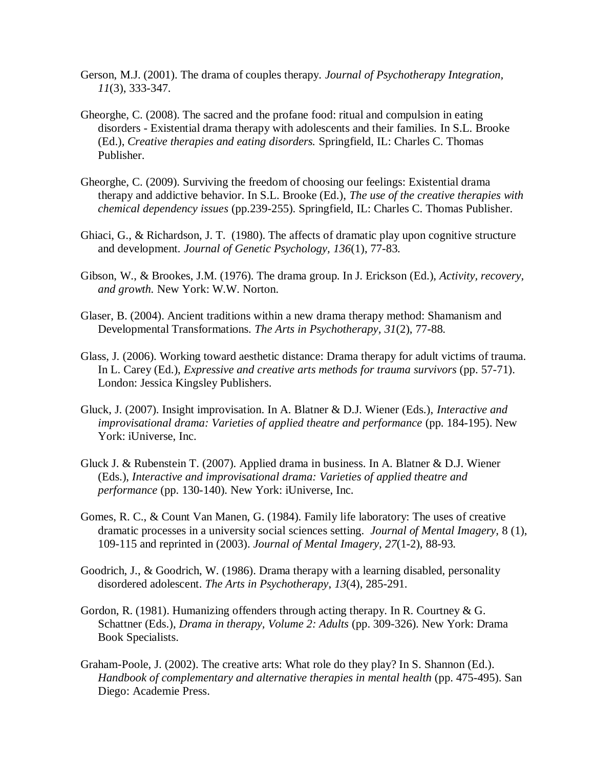- Gerson, M.J. (2001). The drama of couples therapy. *Journal of Psychotherapy Integration, 11*(3), 333-347.
- Gheorghe, C. (2008). The sacred and the profane food: ritual and compulsion in eating disorders - Existential drama therapy with adolescents and their families. In S.L. Brooke (Ed.), *Creative therapies and eating disorders.* Springfield, IL: Charles C. Thomas Publisher.
- Gheorghe, C. (2009). Surviving the freedom of choosing our feelings: Existential drama therapy and addictive behavior. In S.L. Brooke (Ed.), *The use of the creative therapies with chemical dependency issues* (pp.239-255). Springfield, IL: Charles C. Thomas Publisher.
- Ghiaci, G., & Richardson, J. T. (1980). The affects of dramatic play upon cognitive structure and development*. Journal of Genetic Psychology, 136*(1), 77-83.
- Gibson, W., & Brookes, J.M. (1976). The drama group. In J. Erickson (Ed.), *Activity, recovery, and growth.* New York: W.W. Norton.
- Glaser, B. (2004). Ancient traditions within a new drama therapy method: Shamanism and Developmental Transformations. *The Arts in Psychotherapy, 31*(2), 77-88.
- Glass, J. (2006). Working toward aesthetic distance: Drama therapy for adult victims of trauma. In L. Carey (Ed.), *Expressive and creative arts methods for trauma survivors* (pp. 57-71). London: Jessica Kingsley Publishers.
- Gluck, J. (2007). Insight improvisation. In A. Blatner & D.J. Wiener (Eds.), *Interactive and improvisational drama: Varieties of applied theatre and performance* (pp. 184-195). New York: iUniverse, Inc.
- Gluck J. & Rubenstein T. (2007). Applied drama in business. In A. Blatner & D.J. Wiener (Eds.), *Interactive and improvisational drama: Varieties of applied theatre and performance* (pp. 130-140). New York: iUniverse, Inc.
- Gomes, R. C., & Count Van Manen, G. (1984). Family life laboratory: The uses of creative dramatic processes in a university social sciences setting. *Journal of Mental Imagery,* 8 (1), 109-115 and reprinted in (2003). *Journal of Mental Imagery, 27*(1-2), 88-93.
- Goodrich, J., & Goodrich, W. (1986). Drama therapy with a learning disabled, personality disordered adolescent. *The Arts in Psychotherapy*, *13*(4), 285-291.
- Gordon, R. (1981). Humanizing offenders through acting therapy. In R. Courtney  $\& G$ . Schattner (Eds.), *Drama in therapy, Volume 2: Adults* (pp. 309-326). New York: Drama Book Specialists.
- Graham-Poole, J. (2002). The creative arts: What role do they play? In S. Shannon (Ed.). *Handbook of complementary and alternative therapies in mental health* (pp. 475-495). San Diego: Academie Press.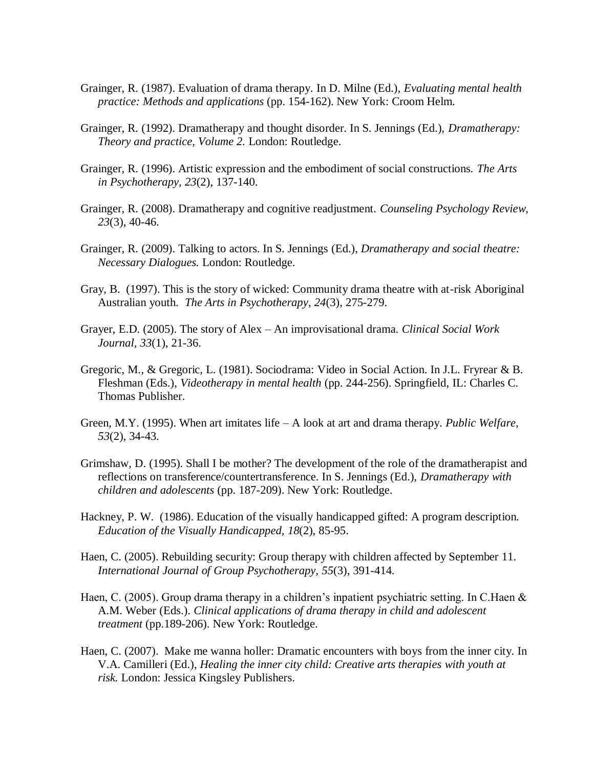- Grainger, R. (1987). Evaluation of drama therapy. In D. Milne (Ed.), *Evaluating mental health practice: Methods and applications* (pp. 154-162). New York: Croom Helm.
- Grainger, R. (1992). Dramatherapy and thought disorder. In S. Jennings (Ed.), *Dramatherapy: Theory and practice, Volume 2.* London: Routledge.
- Grainger, R. (1996). Artistic expression and the embodiment of social constructions. *The Arts in Psychotherapy, 23*(2), 137-140.
- Grainger, R. (2008). Dramatherapy and cognitive readjustment. *Counseling Psychology Review*, *23*(3), 40-46.
- Grainger, R. (2009). Talking to actors. In S. Jennings (Ed.), *Dramatherapy and social theatre: Necessary Dialogues.* London: Routledge.
- Gray, B. (1997). This is the story of wicked: Community drama theatre with at-risk Aboriginal Australian youth. *The Arts in Psychotherapy*, *24*(3), 275-279.
- Grayer, E.D. (2005). The story of Alex An improvisational drama. *Clinical Social Work Journal, 33*(1), 21-36.
- Gregoric, M., & Gregoric, L. (1981). Sociodrama: Video in Social Action. In J.L. Fryrear & B. Fleshman (Eds.), *Videotherapy in mental health* (pp. 244-256). Springfield, IL: Charles C. Thomas Publisher.
- Green, M.Y. (1995). When art imitates life A look at art and drama therapy. *Public Welfare, 53*(2), 34-43.
- Grimshaw, D. (1995). Shall I be mother? The development of the role of the dramatherapist and reflections on transference/countertransference. In S. Jennings (Ed.), *Dramatherapy with children and adolescents* (pp. 187-209). New York: Routledge.
- Hackney, P. W. (1986). Education of the visually handicapped gifted: A program description*. Education of the Visually Handicapped, 18*(2), 85-95.
- Haen, C. (2005). Rebuilding security: Group therapy with children affected by September 11. *International Journal of Group Psychotherapy, 55*(3), 391-414.
- Haen, C. (2005). Group drama therapy in a children's inpatient psychiatric setting. In C.Haen & A.M. Weber (Eds.). *Clinical applications of drama therapy in child and adolescent treatment* (pp.189-206). New York: Routledge.
- Haen, C. (2007). Make me wanna holler: Dramatic encounters with boys from the inner city. In V.A. Camilleri (Ed.), *Healing the inner city child: Creative arts therapies with youth at risk.* London: Jessica Kingsley Publishers.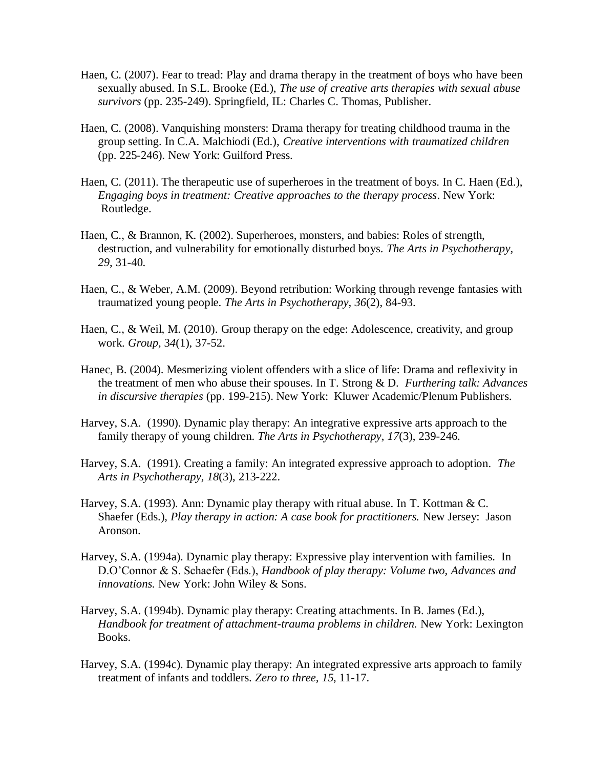- Haen, C. (2007). Fear to tread: Play and drama therapy in the treatment of boys who have been sexually abused. In S.L. Brooke (Ed.), *The use of creative arts therapies with sexual abuse survivors* (pp. 235-249). Springfield, IL: Charles C. Thomas, Publisher.
- Haen, C. (2008). Vanquishing monsters: Drama therapy for treating childhood trauma in the group setting. In C.A. Malchiodi (Ed.), *Creative interventions with traumatized children*  (pp. 225-246). New York: Guilford Press.
- Haen, C. (2011). The therapeutic use of superheroes in the treatment of boys. In C. Haen (Ed.), *Engaging boys in treatment: Creative approaches to the therapy process*. New York: Routledge.
- Haen, C., & Brannon, K. (2002). Superheroes, monsters, and babies: Roles of strength, destruction, and vulnerability for emotionally disturbed boys. *The Arts in Psychotherapy, 29*, 31-40.
- Haen, C., & Weber, A.M. (2009). Beyond retribution: Working through revenge fantasies with traumatized young people. *The Arts in Psychotherapy, 36*(2), 84-93.
- Haen, C., & Weil, M. (2010). Group therapy on the edge: Adolescence, creativity, and group work. *Group,* 3*4*(1), 37-52.
- Hanec, B. (2004). Mesmerizing violent offenders with a slice of life: Drama and reflexivity in the treatment of men who abuse their spouses. In T. Strong & D. *Furthering talk: Advances in discursive therapies* (pp. 199-215). New York: Kluwer Academic/Plenum Publishers.
- Harvey, S.A. (1990). Dynamic play therapy: An integrative expressive arts approach to the family therapy of young children. *The Arts in Psychotherapy*, *17*(3), 239-246.
- Harvey, S.A. (1991). Creating a family: An integrated expressive approach to adoption*. The Arts in Psychotherapy, 18*(3), 213-222.
- Harvey, S.A. (1993). Ann: Dynamic play therapy with ritual abuse. In T. Kottman & C. Shaefer (Eds.), *Play therapy in action: A case book for practitioners.* New Jersey: Jason Aronson.
- Harvey, S.A. (1994a). Dynamic play therapy: Expressive play intervention with families. In D.O'Connor & S. Schaefer (Eds.), *Handbook of play therapy: Volume two, Advances and innovations.* New York: John Wiley & Sons.
- Harvey, S.A. (1994b). Dynamic play therapy: Creating attachments. In B. James (Ed.), *Handbook for treatment of attachment-trauma problems in children.* New York: Lexington Books.
- Harvey, S.A. (1994c). Dynamic play therapy: An integrated expressive arts approach to family treatment of infants and toddlers. *Zero to three, 15*, 11-17.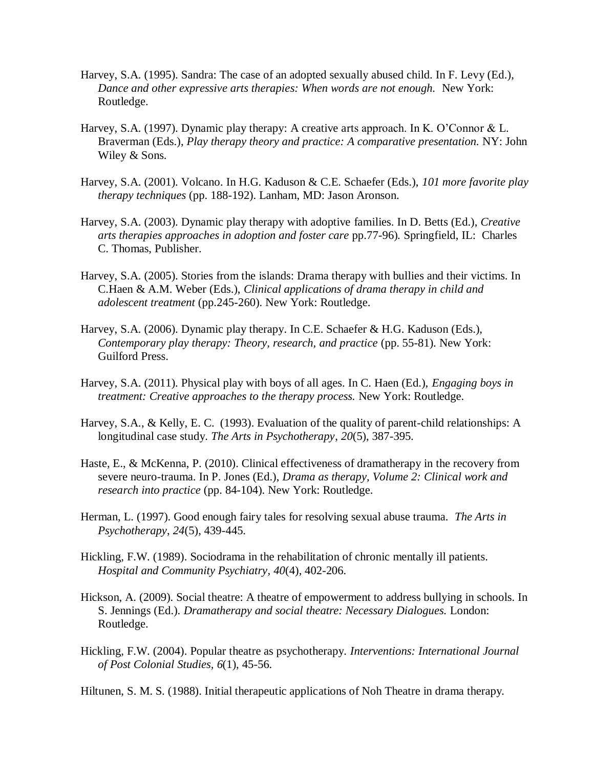- Harvey, S.A. (1995). Sandra: The case of an adopted sexually abused child. In F. Levy (Ed.), *Dance and other expressive arts therapies: When words are not enough.* New York: Routledge.
- Harvey, S.A. (1997). Dynamic play therapy: A creative arts approach. In K. O'Connor & L. Braverman (Eds.), *Play therapy theory and practice: A comparative presentation.* NY: John Wiley & Sons.
- Harvey, S.A. (2001). Volcano. In H.G. Kaduson & C.E. Schaefer (Eds.), *101 more favorite play therapy techniques* (pp. 188-192). Lanham, MD: Jason Aronson.
- Harvey, S.A. (2003). Dynamic play therapy with adoptive families. In D. Betts (Ed.), *Creative arts therapies approaches in adoption and foster care* pp.77-96)*.* Springfield, IL: Charles C. Thomas, Publisher.
- Harvey, S.A. (2005). Stories from the islands: Drama therapy with bullies and their victims. In C.Haen & A.M. Weber (Eds.), *Clinical applications of drama therapy in child and adolescent treatment* (pp.245-260). New York: Routledge.
- Harvey, S.A. (2006). Dynamic play therapy. In C.E. Schaefer & H.G. Kaduson (Eds.), *Contemporary play therapy: Theory, research, and practice* (pp. 55-81). New York: Guilford Press.
- Harvey, S.A. (2011). Physical play with boys of all ages. In C. Haen (Ed.), *Engaging boys in treatment: Creative approaches to the therapy process.* New York: Routledge.
- Harvey, S.A., & Kelly, E. C. (1993). Evaluation of the quality of parent-child relationships: A longitudinal case study. *The Arts in Psychotherapy*, *20*(5), 387-395.
- Haste, E., & McKenna, P. (2010). Clinical effectiveness of dramatherapy in the recovery from severe neuro-trauma. In P. Jones (Ed.), *Drama as therapy, Volume 2: Clinical work and research into practice* (pp. 84-104). New York: Routledge.
- Herman, L. (1997). Good enough fairy tales for resolving sexual abuse trauma*. The Arts in Psychotherapy*, *24*(5), 439-445.
- Hickling, F.W. (1989). Sociodrama in the rehabilitation of chronic mentally ill patients. *Hospital and Community Psychiatry, 40*(4), 402-206.
- Hickson, A. (2009). Social theatre: A theatre of empowerment to address bullying in schools. In S. Jennings (Ed.). *Dramatherapy and social theatre: Necessary Dialogues.* London: Routledge.
- Hickling, F.W. (2004). Popular theatre as psychotherapy. *Interventions: International Journal of Post Colonial Studies, 6*(1), 45-56.

Hiltunen, S. M. S. (1988). Initial therapeutic applications of Noh Theatre in drama therapy*.*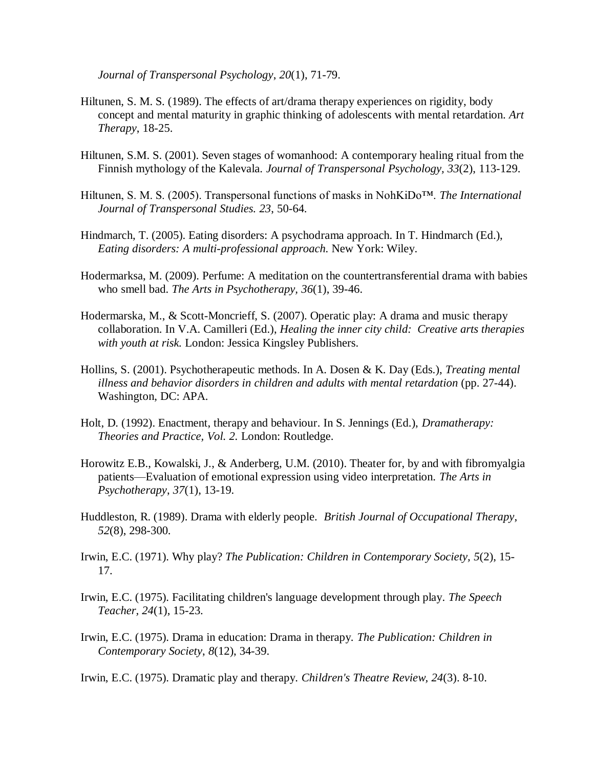*Journal of Transpersonal Psychology*, *20*(1), 71-79.

- Hiltunen, S. M. S. (1989). The effects of art/drama therapy experiences on rigidity, body concept and mental maturity in graphic thinking of adolescents with mental retardation. *Art Therapy*, 18-25.
- Hiltunen, S.M. S. (2001). Seven stages of womanhood: A contemporary healing ritual from the Finnish mythology of the Kalevala. *Journal of Transpersonal Psychology, 33*(2), 113-129.
- Hiltunen, S. M. S. (2005). Transpersonal functions of masks in NohKiDo™. *The International Journal of Transpersonal Studies. 23*, 50-64.
- Hindmarch, T. (2005). Eating disorders: A psychodrama approach. In T. Hindmarch (Ed.), *Eating disorders: A multi-professional approach.* New York: Wiley.
- Hodermarksa, M. (2009). Perfume: A meditation on the countertransferential drama with babies who smell bad. *The Arts in Psychotherapy, 36*(1), 39-46.
- Hodermarska, M., & Scott-Moncrieff, S. (2007). Operatic play: A drama and music therapy collaboration. In V.A. Camilleri (Ed.), *Healing the inner city child: Creative arts therapies with youth at risk.* London: Jessica Kingsley Publishers.
- Hollins, S. (2001). Psychotherapeutic methods. In A. Dosen & K. Day (Eds.), *Treating mental illness and behavior disorders in children and adults with mental retardation* (pp. 27-44). Washington, DC: APA.
- Holt, D. (1992). Enactment, therapy and behaviour. In S. Jennings (Ed.), *Dramatherapy: Theories and Practice, Vol. 2.* London: Routledge.
- Horowitz E.B., Kowalski, J., & Anderberg, U.M. (2010). [Theater for, by and with fibromyalgia](http://csaweb111v.csa.com.er.lib.k-state.edu/ids70/view_record.php?id=2&recnum=16&log=from_res&SID=2krd1ml025thfkf51or5ip0uk0)  [patients—Evaluation of emotional expression using video interpretation.](http://csaweb111v.csa.com.er.lib.k-state.edu/ids70/view_record.php?id=2&recnum=16&log=from_res&SID=2krd1ml025thfkf51or5ip0uk0) *The Arts in Psychotherapy*, *37*(1), 13-19.
- Huddleston, R. (1989). Drama with elderly people. *British Journal of Occupational Therapy*, *52*(8), 298-300.
- Irwin, E.C. (1971). Why play? *The Publication: Children in Contemporary Society, 5*(2), 15- 17.
- Irwin, E.C. (1975). Facilitating children's language development through play. *The Speech Teacher, 24*(1), 15-23.
- Irwin, E.C. (1975). Drama in education: Drama in therapy. *The Publication: Children in Contemporary Society*, *8*(12), 34-39.

Irwin, E.C. (1975). Dramatic play and therapy. *Children's Theatre Review, 24*(3). 8-10.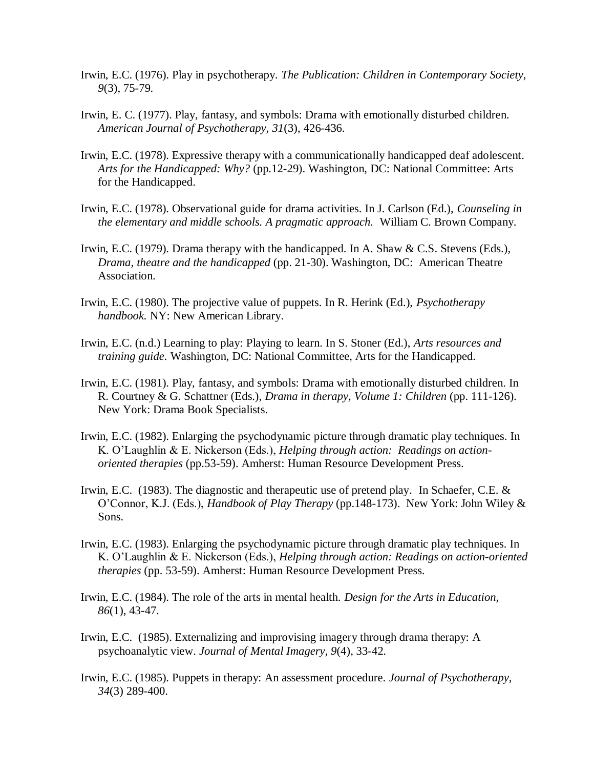- Irwin, E.C. (1976). Play in psychotherapy. *The Publication: Children in Contemporary Society, 9*(3), 75-79.
- Irwin, E. C. (1977). Play, fantasy, and symbols: Drama with emotionally disturbed children. *American Journal of Psychotherapy, 31*(3), 426-436.
- Irwin, E.C. (1978). Expressive therapy with a communicationally handicapped deaf adolescent. *Arts for the Handicapped: Why?* (pp.12-29). Washington, DC: National Committee: Arts for the Handicapped.
- Irwin, E.C. (1978). Observational guide for drama activities. In J. Carlson (Ed.), *Counseling in the elementary and middle schools. A pragmatic approach.* William C. Brown Company.
- Irwin, E.C. (1979). Drama therapy with the handicapped. In A. Shaw & C.S. Stevens (Eds.), *Drama, theatre and the handicapped* (pp. 21-30). Washington, DC: American Theatre Association.
- Irwin, E.C. (1980). The projective value of puppets. In R. Herink (Ed.), *Psychotherapy handbook.* NY: New American Library.
- Irwin, E.C. (n.d.) Learning to play: Playing to learn. In S. Stoner (Ed.), *Arts resources and training guide.* Washington, DC: National Committee, Arts for the Handicapped.
- Irwin, E.C. (1981). Play, fantasy, and symbols: Drama with emotionally disturbed children. In R. Courtney & G. Schattner (Eds.), *Drama in therapy, Volume 1: Children* (pp. 111-126). New York: Drama Book Specialists.
- Irwin, E.C. (1982). Enlarging the psychodynamic picture through dramatic play techniques. In K. O'Laughlin & E. Nickerson (Eds.), *Helping through action: Readings on actionoriented therapies* (pp.53-59). Amherst: Human Resource Development Press.
- Irwin, E.C. (1983). The diagnostic and therapeutic use of pretend play*.* In Schaefer, C.E. & O'Connor, K.J. (Eds.), *Handbook of Play Therapy* (pp.148-173). New York: John Wiley & Sons.
- Irwin, E.C. (1983). Enlarging the psychodynamic picture through dramatic play techniques. In K. O'Laughlin & E. Nickerson (Eds.), *Helping through action: Readings on action-oriented therapies* (pp. 53-59). Amherst: Human Resource Development Press.
- Irwin, E.C. (1984). The role of the arts in mental health. *Design for the Arts in Education, 86*(1), 43-47.
- Irwin, E.C. (1985). Externalizing and improvising imagery through drama therapy: A psychoanalytic view. *Journal of Mental Imagery, 9*(4), 33-42.
- Irwin, E.C. (1985). Puppets in therapy: An assessment procedure. *Journal of Psychotherapy, 34*(3) 289-400.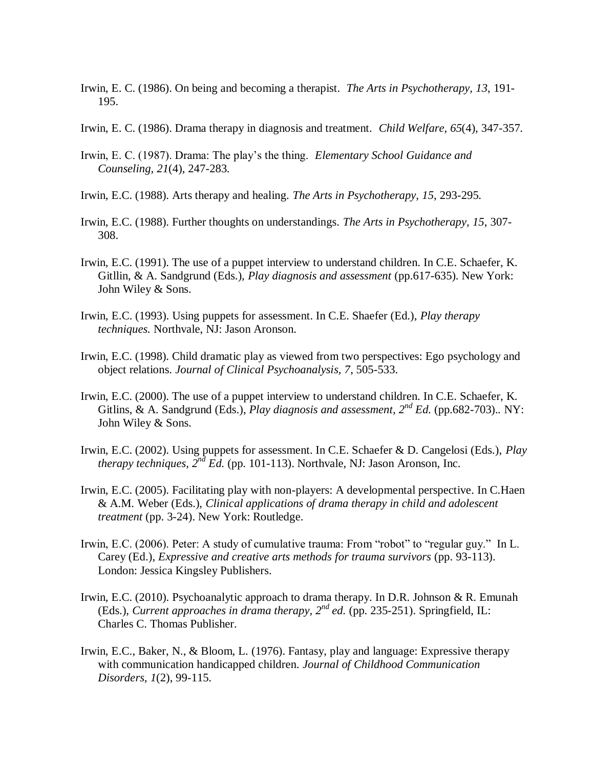- Irwin, E. C. (1986). On being and becoming a therapist. *The Arts in Psychotherapy, 13*, 191- 195.
- Irwin, E. C. (1986). Drama therapy in diagnosis and treatment. *Child Welfare, 65*(4), 347-357.
- Irwin, E. C. (1987). Drama: The play's the thing. *Elementary School Guidance and Counseling, 21*(4), 247-283.
- Irwin, E.C. (1988). Arts therapy and healing. *The Arts in Psychotherapy, 15*, 293-295.
- Irwin, E.C. (1988). Further thoughts on understandings. *The Arts in Psychotherapy, 15*, 307- 308.
- Irwin, E.C. (1991). The use of a puppet interview to understand children. In C.E. Schaefer, K. Gitllin, & A. Sandgrund (Eds.), *Play diagnosis and assessment* (pp.617-635). New York: John Wiley & Sons.
- Irwin, E.C. (1993). Using puppets for assessment. In C.E. Shaefer (Ed.), *Play therapy techniques.* Northvale, NJ: Jason Aronson.
- Irwin, E.C. (1998). Child dramatic play as viewed from two perspectives: Ego psychology and object relations. *Journal of Clinical Psychoanalysis, 7*, 505-533.
- Irwin, E.C. (2000). The use of a puppet interview to understand children. In C.E. Schaefer, K. Gitlins, & A. Sandgrund (Eds.), *Play diagnosis and assessment, 2nd Ed.* (pp.682-703).*.* NY: John Wiley & Sons.
- Irwin, E.C. (2002). Using puppets for assessment. In C.E. Schaefer & D. Cangelosi (Eds.), *Play therapy techniques, 2nd Ed.* (pp. 101-113). Northvale, NJ: Jason Aronson, Inc.
- Irwin, E.C. (2005). Facilitating play with non-players: A developmental perspective. In C.Haen & A.M. Weber (Eds.), *Clinical applications of drama therapy in child and adolescent treatment* (pp. 3-24). New York: Routledge.
- Irwin, E.C. (2006). Peter: A study of cumulative trauma: From "robot" to "regular guy." In L. Carey (Ed.), *Expressive and creative arts methods for trauma survivors* (pp. 93-113). London: Jessica Kingsley Publishers.
- Irwin, E.C. (2010). Psychoanalytic approach to drama therapy. In D.R. Johnson & R. Emunah (Eds.), *Current approaches in drama therapy, 2nd ed.* (pp. 235-251). Springfield, IL: Charles C. Thomas Publisher.
- Irwin, E.C., Baker, N., & Bloom, L. (1976). Fantasy, play and language: Expressive therapy with communication handicapped children. *Journal of Childhood Communication Disorders, 1*(2), 99-115.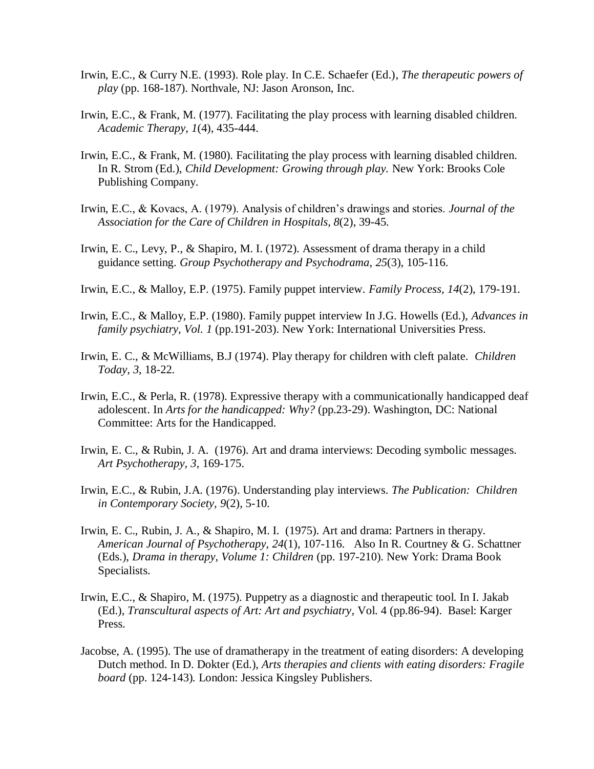- Irwin, E.C., & Curry N.E. (1993). Role play. In C.E. Schaefer (Ed.), *The therapeutic powers of play* (pp. 168-187). Northvale, NJ: Jason Aronson, Inc.
- Irwin, E.C., & Frank, M. (1977). Facilitating the play process with learning disabled children. *Academic Therapy*, *1*(4), 435-444.
- Irwin, E.C., & Frank, M. (1980). Facilitating the play process with learning disabled children. In R. Strom (Ed.), *Child Development: Growing through play.* New York: Brooks Cole Publishing Company.
- Irwin, E.C., & Kovacs, A. (1979). Analysis of children's drawings and stories. *Journal of the Association for the Care of Children in Hospitals, 8*(2), 39-45.
- Irwin, E. C., Levy, P., & Shapiro, M. I. (1972). Assessment of drama therapy in a child guidance setting. *Group Psychotherapy and Psychodrama*, *25*(3), 105-116.
- Irwin, E.C., & Malloy, E.P. (1975). Family puppet interview. *Family Process, 14*(2), 179-191.
- Irwin, E.C., & Malloy, E.P. (1980). Family puppet interview In J.G. Howells (Ed.), *Advances in family psychiatry, Vol. 1* (pp.191-203). New York: International Universities Press.
- Irwin, E. C., & McWilliams, B.J (1974). Play therapy for children with cleft palate. *Children Today, 3*, 18-22.
- Irwin, E.C., & Perla, R. (1978). Expressive therapy with a communicationally handicapped deaf adolescent. In *Arts for the handicapped: Why?* (pp.23-29). Washington, DC: National Committee: Arts for the Handicapped.
- Irwin, E. C., & Rubin, J. A. (1976). Art and drama interviews: Decoding symbolic messages. *Art Psychotherapy*, *3*, 169-175.
- Irwin, E.C., & Rubin, J.A. (1976). Understanding play interviews. *The Publication: Children in Contemporary Society, 9*(2), 5-10.
- Irwin, E. C., Rubin, J. A., & Shapiro, M. I. (1975). Art and drama: Partners in therapy. *American Journal of Psychotherapy, 24*(1), 107-116. Also In R. Courtney & G. Schattner (Eds.), *Drama in therapy, Volume 1: Children* (pp. 197-210). New York: Drama Book Specialists.
- Irwin, E.C., & Shapiro, M. (1975). Puppetry as a diagnostic and therapeutic tool. In I. Jakab (Ed.), *Transcultural aspects of Art: Art and psychiatry,* Vol. 4 (pp.86-94). Basel: Karger Press.
- Jacobse, A. (1995). The use of dramatherapy in the treatment of eating disorders: A developing Dutch method. In D. Dokter (Ed.), *Arts therapies and clients with eating disorders: Fragile board* (pp. 124-143)*.* London: Jessica Kingsley Publishers.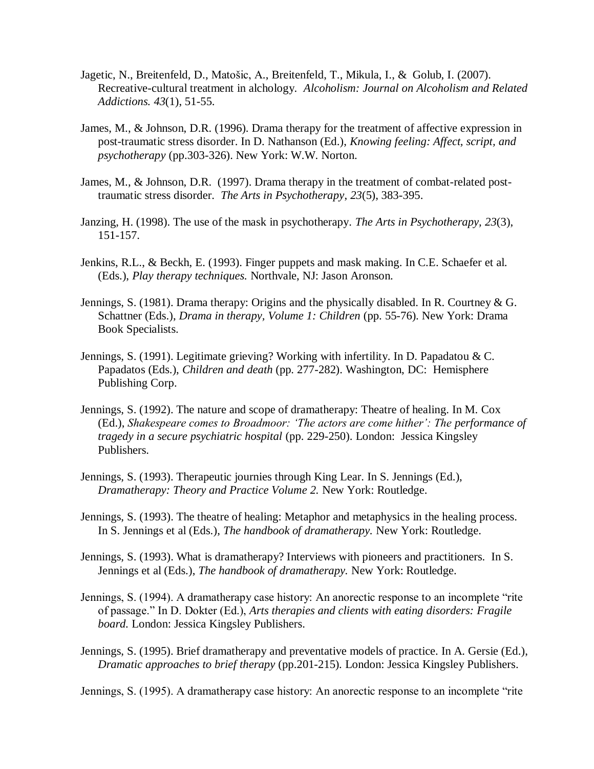- [Jagetic, N.](http://csaweb115v.csa.com.er.lib.ksu.edu/ids70/p_search_form.php?field=au&query=jagetic+nada&log=literal&SID=b9f840c90cfd6aa0f90b2b62ae90e5b6), [Breitenfeld, D.](http://csaweb115v.csa.com.er.lib.ksu.edu/ids70/p_search_form.php?field=au&query=breitenfeld+darko&log=literal&SID=b9f840c90cfd6aa0f90b2b62ae90e5b6), [Matošic, A.](http://csaweb115v.csa.com.er.lib.ksu.edu/ids70/p_search_form.php?field=au&query=matosic+ana&log=literal&SID=b9f840c90cfd6aa0f90b2b62ae90e5b6), [Breitenfeld, T.](http://csaweb115v.csa.com.er.lib.ksu.edu/ids70/p_search_form.php?field=au&query=breitenfeld+tomislav&log=literal&SID=b9f840c90cfd6aa0f90b2b62ae90e5b6), [Mikula, I.](http://csaweb115v.csa.com.er.lib.ksu.edu/ids70/p_search_form.php?field=au&query=mikula+ivan&log=literal&SID=b9f840c90cfd6aa0f90b2b62ae90e5b6), & [Golub, I.](http://csaweb115v.csa.com.er.lib.ksu.edu/ids70/p_search_form.php?field=au&query=golub+izidor&log=literal&SID=b9f840c90cfd6aa0f90b2b62ae90e5b6) (2007). [Recreative-cultural treatment in alchology.](http://csaweb115v.csa.com.er.lib.ksu.edu/ids70/view_record.php?id=2&recnum=11&log=from_res&SID=b9f840c90cfd6aa0f90b2b62ae90e5b6) *Alcoholism: Journal on Alcoholism and Related Addictions. 43*(1), 51-55.
- James, M., & Johnson, D.R. (1996). Drama therapy for the treatment of affective expression in post-traumatic stress disorder. In D. Nathanson (Ed.), *Knowing feeling: Affect, script, and psychotherapy* (pp.303-326). New York: W.W. Norton.
- James, M., & Johnson, D.R. (1997). Drama therapy in the treatment of combat-related posttraumatic stress disorder. *The Arts in Psychotherapy*, *23*(5), 383-395.
- Janzing, H. (1998). The use of the mask in psychotherapy. *The Arts in Psychotherapy, 23*(3), 151-157.
- Jenkins, R.L., & Beckh, E. (1993). Finger puppets and mask making. In C.E. Schaefer et al. (Eds.), *Play therapy techniques.* Northvale, NJ: Jason Aronson.
- Jennings, S. (1981). Drama therapy: Origins and the physically disabled. In R. Courtney & G. Schattner (Eds.), *Drama in therapy, Volume 1: Children* (pp. 55-76). New York: Drama Book Specialists.
- Jennings, S. (1991). Legitimate grieving? Working with infertility. In D. Papadatou & C. Papadatos (Eds.), *Children and death* (pp. 277-282). Washington, DC: Hemisphere Publishing Corp.
- Jennings, S. (1992). The nature and scope of dramatherapy: Theatre of healing. In M. Cox (Ed.), *Shakespeare comes to Broadmoor: "The actors are come hither": The performance of tragedy in a secure psychiatric hospital* (pp. 229-250). London: Jessica Kingsley Publishers.
- Jennings, S. (1993). Therapeutic journies through King Lear. In S. Jennings (Ed.), *Dramatherapy: Theory and Practice Volume 2.* New York: Routledge.
- Jennings, S. (1993). The theatre of healing: Metaphor and metaphysics in the healing process. In S. Jennings et al (Eds.), *The handbook of dramatherapy.* New York: Routledge.
- Jennings, S. (1993). What is dramatherapy? Interviews with pioneers and practitioners. In S. Jennings et al (Eds.), *The handbook of dramatherapy.* New York: Routledge.
- Jennings, S. (1994). A dramatherapy case history: An anorectic response to an incomplete "rite" of passage." In D. Dokter (Ed.), *Arts therapies and clients with eating disorders: Fragile board.* London: Jessica Kingsley Publishers.
- Jennings, S. (1995). Brief dramatherapy and preventative models of practice. In A. Gersie (Ed.), *Dramatic approaches to brief therapy* (pp.201-215)*.* London: Jessica Kingsley Publishers.

Jennings, S. (1995). A dramatherapy case history: An anorectic response to an incomplete "rite"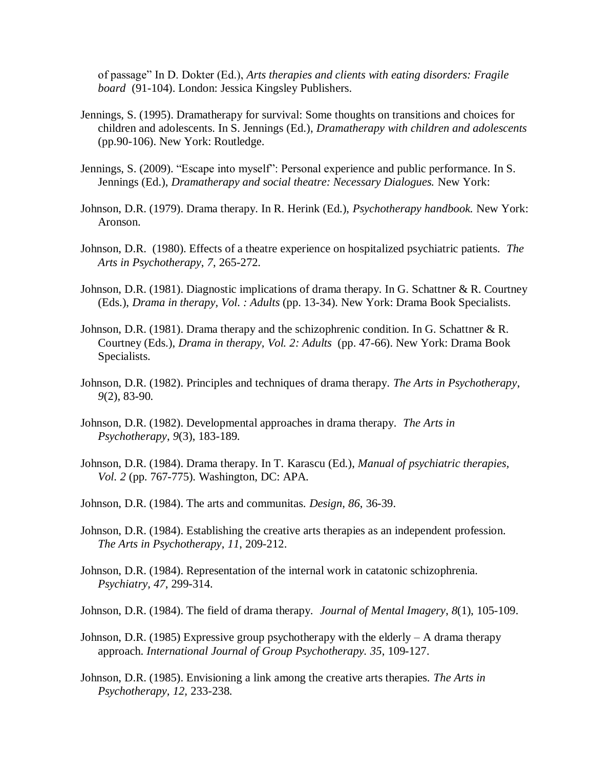of passage" In D. Dokter (Ed.), *Arts therapies and clients with eating disorders: Fragile board* (91-104). London: Jessica Kingsley Publishers.

- Jennings, S. (1995). Dramatherapy for survival: Some thoughts on transitions and choices for children and adolescents. In S. Jennings (Ed.), *Dramatherapy with children and adolescents* (pp.90-106). New York: Routledge.
- Jennings, S. (2009). "Escape into myself": Personal experience and public performance. In S. Jennings (Ed.), *Dramatherapy and social theatre: Necessary Dialogues.* New York:
- Johnson, D.R. (1979). Drama therapy. In R. Herink (Ed.), *Psychotherapy handbook.* New York: Aronson.
- Johnson, D.R. (1980). Effects of a theatre experience on hospitalized psychiatric patients. *The Arts in Psychotherapy*, *7*, 265-272.
- Johnson, D.R. (1981). Diagnostic implications of drama therapy. In G. Schattner & R. Courtney (Eds.), *Drama in therapy, Vol. : Adults* (pp. 13-34). New York: Drama Book Specialists.
- Johnson, D.R. (1981). Drama therapy and the schizophrenic condition. In G. Schattner & R. Courtney (Eds.), *Drama in therapy, Vol. 2: Adults* (pp. 47-66). New York: Drama Book Specialists.
- Johnson, D.R. (1982). Principles and techniques of drama therapy*. The Arts in Psychotherapy*, *9*(2), 83-90.
- Johnson, D.R. (1982). Developmental approaches in drama therapy*. The Arts in Psychotherapy*, *9*(3), 183-189.
- Johnson, D.R. (1984). Drama therapy. In T. Karascu (Ed.), *Manual of psychiatric therapies, Vol. 2* (pp. 767-775). Washington, DC: APA.
- Johnson, D.R. (1984). The arts and communitas. *Design, 86*, 36-39.
- Johnson, D.R. (1984). Establishing the creative arts therapies as an independent profession. *The Arts in Psychotherapy*, *11*, 209-212.
- Johnson, D.R. (1984). Representation of the internal work in catatonic schizophrenia. *Psychiatry, 47*, 299-314.
- Johnson, D.R. (1984). The field of drama therapy. *Journal of Mental Imagery*, *8*(1), 105-109.
- Johnson, D.R. (1985) Expressive group psychotherapy with the elderly  $A$  drama therapy approach. *International Journal of Group Psychotherapy. 35*, 109-127.
- Johnson, D.R. (1985). Envisioning a link among the creative arts therapies. *The Arts in Psychotherapy, 12,* 233-238.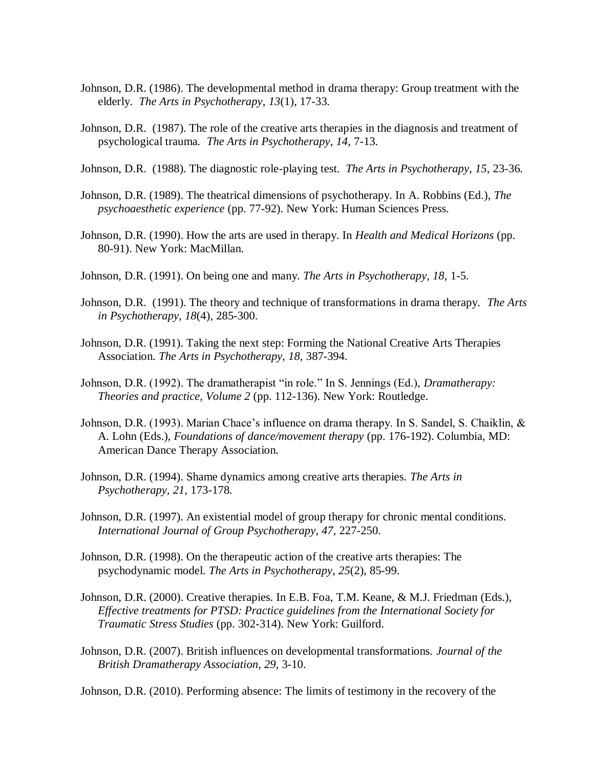- Johnson, D.R. (1986). The developmental method in drama therapy: Group treatment with the elderly. *The Arts in Psychotherapy*, *13*(1), 17-33.
- Johnson, D.R. (1987). The role of the creative arts therapies in the diagnosis and treatment of psychological trauma*. The Arts in Psychotherapy*, *14*, 7-13.
- Johnson, D.R. (1988). The diagnostic role-playing test. *The Arts in Psychotherapy*, *15*, 23-36.
- Johnson, D.R. (1989). The theatrical dimensions of psychotherapy. In A. Robbins (Ed.), *The psychoaesthetic experience* (pp. 77-92). New York: Human Sciences Press.
- Johnson, D.R. (1990). How the arts are used in therapy. In *Health and Medical Horizons* (pp. 80-91). New York: MacMillan.
- Johnson, D.R. (1991). On being one and many. *The Arts in Psychotherapy, 18,* 1-5.
- Johnson, D.R. (1991). The theory and technique of transformations in drama therapy. *The Arts in Psychotherapy*, *18*(4), 285-300.
- Johnson, D.R. (1991). Taking the next step: Forming the National Creative Arts Therapies Association. *The Arts in Psychotherapy, 18,* 387-394.
- Johnson, D.R. (1992). The dramatherapist "in role." In S. Jennings (Ed.), *Dramatherapy*: *Theories and practice, Volume 2* (pp. 112-136). New York: Routledge.
- Johnson, D.R. (1993). Marian Chace's influence on drama therapy. In S. Sandel, S. Chaiklin, & A. Lohn (Eds.), *Foundations of dance/movement therapy* (pp. 176-192). Columbia, MD: American Dance Therapy Association.
- Johnson, D.R. (1994). Shame dynamics among creative arts therapies. *The Arts in Psychotherapy, 21,* 173-178.
- Johnson, D.R. (1997). An existential model of group therapy for chronic mental conditions. *International Journal of Group Psychotherapy, 47,* 227-250.
- Johnson, D.R. (1998). On the therapeutic action of the creative arts therapies: The psychodynamic model. *The Arts in Psychotherapy, 25*(2), 85-99.
- Johnson, D.R. (2000). Creative therapies. In E.B. Foa, T.M. Keane, & M.J. Friedman (Eds.), *Effective treatments for PTSD: Practice guidelines from the International Society for Traumatic Stress Studies* (pp. 302-314). New York: Guilford.
- Johnson, D.R. (2007). British influences on developmental transformations. *Journal of the British Dramatherapy Association, 29,* 3-10.

Johnson, D.R. (2010). Performing absence: The limits of testimony in the recovery of the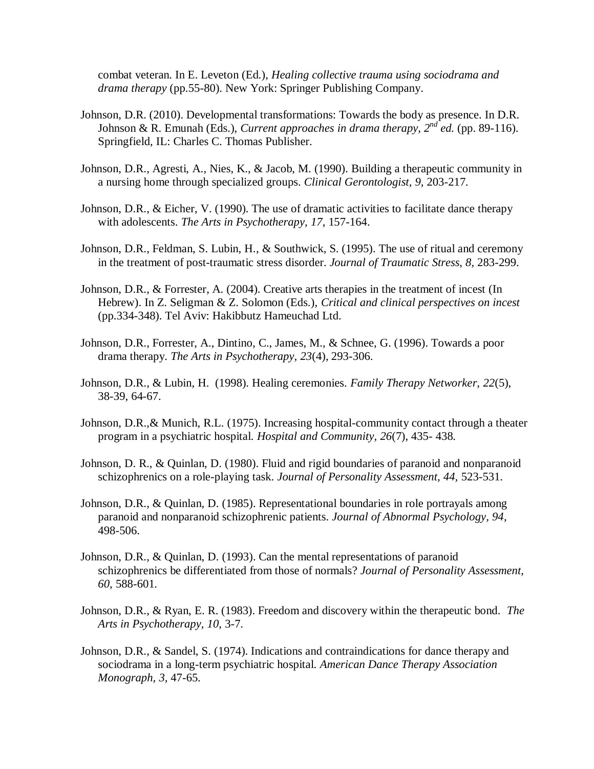combat veteran. In E. Leveton (Ed.), *Healing collective trauma using sociodrama and drama therapy* (pp.55-80). New York: Springer Publishing Company.

- Johnson, D.R. (2010). Developmental transformations: Towards the body as presence. In D.R. Johnson & R. Emunah (Eds.), *Current approaches in drama therapy, 2nd ed.* (pp. 89-116). Springfield, IL: Charles C. Thomas Publisher.
- Johnson, D.R., Agresti, A., Nies, K., & Jacob, M. (1990). Building a therapeutic community in a nursing home through specialized groups. *Clinical Gerontologist, 9,* 203-217.
- Johnson, D.R., & Eicher, V. (1990). The use of dramatic activities to facilitate dance therapy with adolescents. *The Arts in Psychotherapy, 17*, 157-164.
- Johnson, D.R., Feldman, S. Lubin, H., & Southwick, S. (1995). The use of ritual and ceremony in the treatment of post-traumatic stress disorder. *Journal of Traumatic Stress, 8,* 283-299.
- Johnson, D.R., & Forrester, A. (2004). Creative arts therapies in the treatment of incest (In Hebrew). In Z. Seligman & Z. Solomon (Eds.), *Critical and clinical perspectives on incest*  (pp.334-348). Tel Aviv: Hakibbutz Hameuchad Ltd.
- Johnson, D.R., Forrester, A., Dintino, C., James, M., & Schnee, G. (1996). Towards a poor drama therapy. *The Arts in Psychotherapy, 23*(4), 293-306.
- Johnson, D.R., & Lubin, H. (1998). Healing ceremonies*. Family Therapy Networker, 22*(5), 38-39, 64-67.
- Johnson, D.R.,& Munich, R.L. (1975). Increasing hospital-community contact through a theater program in a psychiatric hospital. *Hospital and Community, 26*(7), 435- 438.
- Johnson, D. R., & Quinlan, D. (1980). Fluid and rigid boundaries of paranoid and nonparanoid schizophrenics on a role-playing task. *Journal of Personality Assessment, 44,* 523-531.
- Johnson, D.R., & Quinlan, D. (1985). Representational boundaries in role portrayals among paranoid and nonparanoid schizophrenic patients. *Journal of Abnormal Psychology, 94,*  498-506.
- Johnson, D.R., & Quinlan, D. (1993). Can the mental representations of paranoid schizophrenics be differentiated from those of normals? *Journal of Personality Assessment, 60,* 588-601.
- Johnson, D.R., & Ryan, E. R. (1983). Freedom and discovery within the therapeutic bond. *The Arts in Psychotherapy, 10*, 3-7.
- Johnson, D.R., & Sandel, S. (1974). Indications and contraindications for dance therapy and sociodrama in a long-term psychiatric hospital. *American Dance Therapy Association Monograph, 3,* 47-65.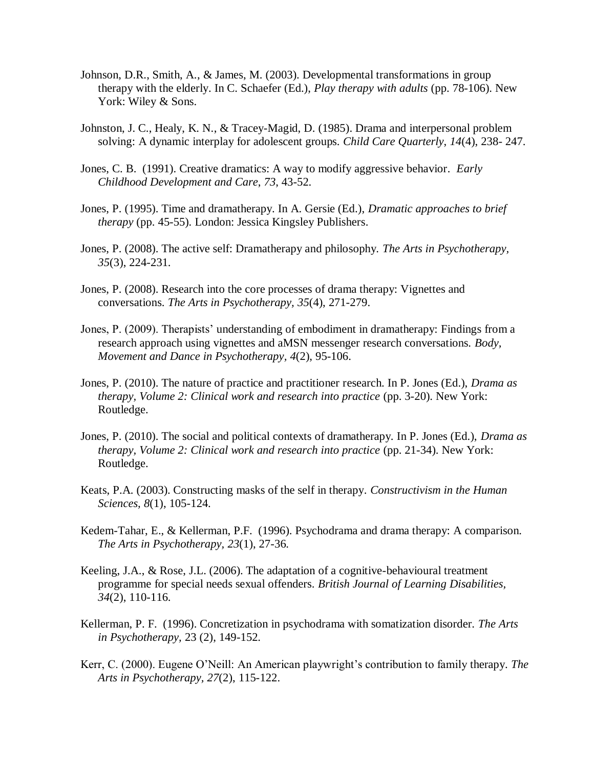- Johnson, D.R., Smith, A., & James, M. (2003). Developmental transformations in group therapy with the elderly. In C. Schaefer (Ed.), *Play therapy with adults* (pp. 78-106). New York: Wiley & Sons.
- Johnston, J. C., Healy, K. N., & Tracey-Magid, D. (1985). Drama and interpersonal problem solving: A dynamic interplay for adolescent groups*. Child Care Quarterly*, *14*(4), 238- 247.
- Jones, C. B. (1991). Creative dramatics: A way to modify aggressive behavior*. Early Childhood Development and Care*, *73*, 43-52.
- Jones, P. (1995). Time and dramatherapy. In A. Gersie (Ed.), *Dramatic approaches to brief therapy* (pp. 45-55)*.* London: Jessica Kingsley Publishers.
- Jones, P. (2008). The active self: Dramatherapy and philosophy. *The Arts in Psychotherapy, 35*(3), 224-231.
- Jones, P. (2008). Research into the core processes of drama therapy: Vignettes and conversations. *The Arts in Psychotherapy, 35*(4), 271-279.
- Jones, P. (2009). Therapists' understanding of embodiment in dramatherapy: Findings from a research approach using vignettes and aMSN messenger research conversations. *Body, Movement and Dance in Psychotherapy, 4*(2), 95-106.
- Jones, P. (2010). The nature of practice and practitioner research. In P. Jones (Ed.), *Drama as therapy, Volume 2: Clinical work and research into practice* (pp. 3-20). New York: Routledge.
- Jones, P. (2010). The social and political contexts of dramatherapy. In P. Jones (Ed.), *Drama as therapy, Volume 2: Clinical work and research into practice* (pp. 21-34). New York: Routledge.
- Keats, P.A. (2003). Constructing masks of the self in therapy. *Constructivism in the Human Sciences, 8*(1), 105-124.
- Kedem-Tahar, E., & Kellerman, P.F. (1996). Psychodrama and drama therapy: A comparison. *The Arts in Psychotherapy, 23*(1), 27-36.
- Keeling, J.A., & Rose, J.L. (2006). The adaptation of a cognitive-behavioural treatment programme for special needs sexual offenders. *British Journal of Learning Disabilities, 34*(2), 110-116.
- Kellerman, P. F. (1996). Concretization in psychodrama with somatization disorder. *The Arts in Psychotherapy,* 23 (2), 149-152.
- Kerr, C. (2000). Eugene O'Neill: An American playwright's contribution to family therapy. *The Arts in Psychotherapy, 27*(2), 115-122.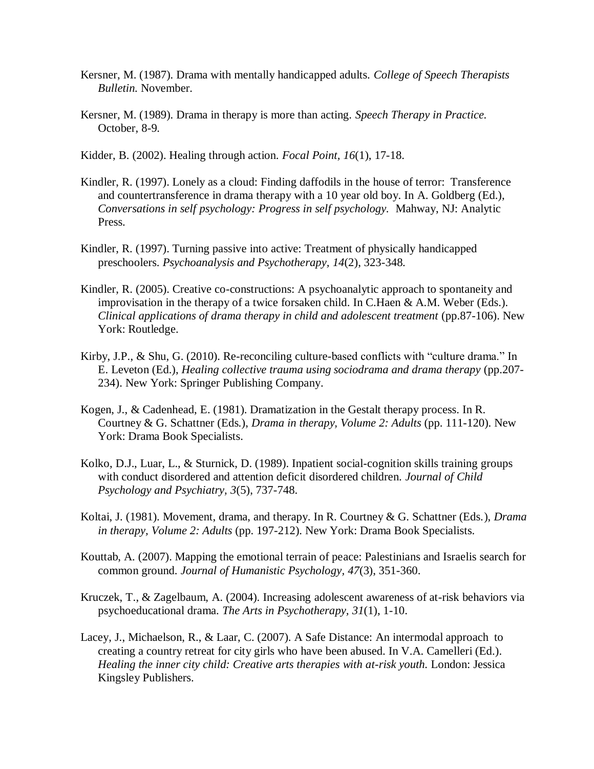- Kersner, M. (1987). Drama with mentally handicapped adults. *College of Speech Therapists Bulletin.* November.
- Kersner, M. (1989). Drama in therapy is more than acting. *Speech Therapy in Practice.* October, 8-9.
- Kidder, B. (2002). Healing through action. *Focal Point, 16*(1), 17-18.
- Kindler, R. (1997). Lonely as a cloud: Finding daffodils in the house of terror: Transference and countertransference in drama therapy with a 10 year old boy. In A. Goldberg (Ed.), *Conversations in self psychology: Progress in self psychology.* Mahway, NJ: Analytic Press.
- Kindler, R. (1997). Turning passive into active: Treatment of physically handicapped preschoolers. *Psychoanalysis and Psychotherapy, 14*(2), 323-348.
- Kindler, R. (2005). Creative co-constructions: A psychoanalytic approach to spontaneity and improvisation in the therapy of a twice forsaken child. In C.Haen & A.M. Weber (Eds.). *Clinical applications of drama therapy in child and adolescent treatment* (pp.87-106). New York: Routledge.
- Kirby, J.P., & Shu, G. (2010). Re-reconciling culture-based conflicts with "culture drama." In E. Leveton (Ed.), *Healing collective trauma using sociodrama and drama therapy* (pp.207- 234). New York: Springer Publishing Company.
- Kogen, J., & Cadenhead, E. (1981). Dramatization in the Gestalt therapy process. In R. Courtney & G. Schattner (Eds.), *Drama in therapy, Volume 2: Adults* (pp. 111-120). New York: Drama Book Specialists.
- Kolko, D.J., Luar, L., & Sturnick, D. (1989). Inpatient social-cognition skills training groups with conduct disordered and attention deficit disordered children. *Journal of Child Psychology and Psychiatry, 3*(5), 737-748.
- Koltai, J. (1981). Movement, drama, and therapy. In R. Courtney & G. Schattner (Eds.), *Drama in therapy, Volume 2: Adults* (pp. 197-212). New York: Drama Book Specialists.
- Kouttab, A. (2007). Mapping the emotional terrain of peace: Palestinians and Israelis search for common ground. *Journal of Humanistic Psychology, 47*(3), 351-360.
- Kruczek, T., & Zagelbaum, A. (2004). Increasing adolescent awareness of at-risk behaviors via psychoeducational drama. *The Arts in Psychotherapy, 31*(1), 1-10.
- Lacey, J., Michaelson, R., & Laar, C. (2007). A Safe Distance: An intermodal approach to creating a country retreat for city girls who have been abused. In V.A. Camelleri (Ed.). *Healing the inner city child: Creative arts therapies with at-risk youth.* London: Jessica Kingsley Publishers.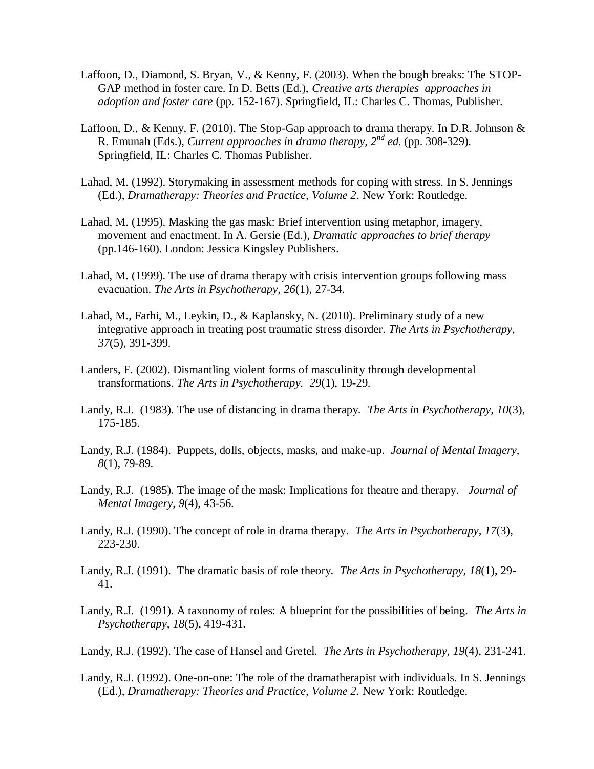- Laffoon, D., Diamond, S. Bryan, V., & Kenny, F. (2003). When the bough breaks: The STOP-GAP method in foster care. In D. Betts (Ed.), *Creative arts therapies approaches in adoption and foster care* (pp*.* 152-167). Springfield, IL: Charles C. Thomas, Publisher.
- Laffoon, D., & Kenny, F. (2010). The Stop-Gap approach to drama therapy. In D.R. Johnson & R. Emunah (Eds.), *Current approaches in drama therapy, 2nd ed.* (pp. 308-329). Springfield, IL: Charles C. Thomas Publisher.
- Lahad, M. (1992). Storymaking in assessment methods for coping with stress. In S. Jennings (Ed.), *Dramatherapy: Theories and Practice, Volume 2.* New York: Routledge.
- Lahad, M. (1995). Masking the gas mask: Brief intervention using metaphor, imagery, movement and enactment. In A. Gersie (Ed.), *Dramatic approaches to brief therapy* (pp.146-160)*.* London: Jessica Kingsley Publishers.
- Lahad, M. (1999). The use of drama therapy with crisis intervention groups following mass evacuation. *The Arts in Psychotherapy, 26*(1), 27-34.
- Lahad, M., Farhi, M., Leykin, D., & Kaplansky, N. (2010). Preliminary study of a new integrative approach in treating post traumatic stress disorder. *The Arts in Psychotherapy, 37*(5), 391-399.
- Landers, F. (2002). Dismantling violent forms of masculinity through developmental transformations. *The Arts in Psychotherapy. 29*(1), 19-29.
- Landy, R.J. (1983). The use of distancing in drama therapy. *The Arts in Psychotherapy, 10*(3), 175-185.
- Landy, R.J. (1984). Puppets, dolls, objects, masks, and make-up. *Journal of Mental Imagery, 8*(1), 79-89.
- Landy, R.J. (1985). The image of the mask: Implications for theatre and therapy*. Journal of Mental Imagery*, *9*(4), 43-56.
- Landy, R.J. (1990). The concept of role in drama therapy*. The Arts in Psychotherapy*, *17*(3), 223-230.
- Landy, R.J. (1991). The dramatic basis of role theory. *The Arts in Psychotherapy, 18*(1), 29- 41.
- Landy, R.J. (1991). A taxonomy of roles: A blueprint for the possibilities of being. *The Arts in Psychotherapy, 18*(5), 419-431.
- Landy, R.J. (1992). The case of Hansel and Gretel. *The Arts in Psychotherapy, 19*(4), 231-241.
- Landy, R.J. (1992). One-on-one: The role of the dramatherapist with individuals. In S. Jennings (Ed.), *Dramatherapy: Theories and Practice, Volume 2.* New York: Routledge.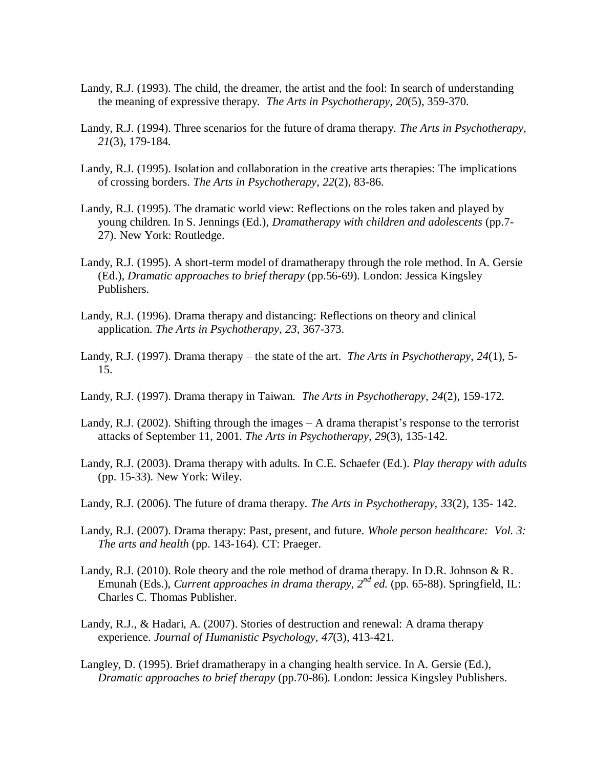- Landy, R.J. (1993). The child, the dreamer, the artist and the fool: In search of understanding the meaning of expressive therapy*. The Arts in Psychotherapy, 20*(5), 359-370.
- Landy, R.J. (1994). Three scenarios for the future of drama therapy*. The Arts in Psychotherapy, 21*(3), 179-184.
- Landy, R.J. (1995). Isolation and collaboration in the creative arts therapies: The implications of crossing borders. *The Arts in Psychotherapy*, *22*(2), 83-86.
- Landy, R.J. (1995). The dramatic world view: Reflections on the roles taken and played by young children. In S. Jennings (Ed.), *Dramatherapy with children and adolescents* (pp.7- 27). New York: Routledge.
- Landy, R.J. (1995). A short-term model of dramatherapy through the role method. In A. Gersie (Ed.), *Dramatic approaches to brief therapy* (pp.56-69)*.* London: Jessica Kingsley Publishers.
- Landy, R.J. (1996). Drama therapy and distancing: Reflections on theory and clinical application. *The Arts in Psychotherapy, 23*, 367-373.
- Landy, R.J. (1997). Drama therapy the state of the art. *The Arts in Psychotherapy*, *24*(1), 5- 15.
- Landy, R.J. (1997). Drama therapy in Taiwan. *The Arts in Psychotherapy, 24*(2), 159-172.
- Landy, R.J. (2002). Shifting through the images A drama therapist's response to the terrorist attacks of September 11, 2001. *The Arts in Psychotherapy, 29*(3), 135-142.
- Landy, R.J. (2003). Drama therapy with adults. In C.E. Schaefer (Ed.). *Play therapy with adults*  (pp. 15-33). New York: Wiley.
- Landy, R.J. (2006). The future of drama therapy. *The Arts in Psychotherapy, 33*(2), 135- 142.
- Landy, R.J. (2007). Drama therapy: Past, present, and future. *Whole person healthcare: Vol. 3: The arts and health* (pp. 143-164). CT: Praeger.
- Landy, R.J. (2010). Role theory and the role method of drama therapy. In D.R. Johnson & R. Emunah (Eds.), *Current approaches in drama therapy*,  $2^{nd}$  *ed.* (pp. 65-88). Springfield, IL: Charles C. Thomas Publisher.
- Landy, R.J., & Hadari, A. (2007). Stories of destruction and renewal: A drama therapy experience. *Journal of Humanistic Psychology, 47*(3), 413-421.
- Langley, D. (1995). Brief dramatherapy in a changing health service. In A. Gersie (Ed.), *Dramatic approaches to brief therapy* (pp.70-86)*.* London: Jessica Kingsley Publishers.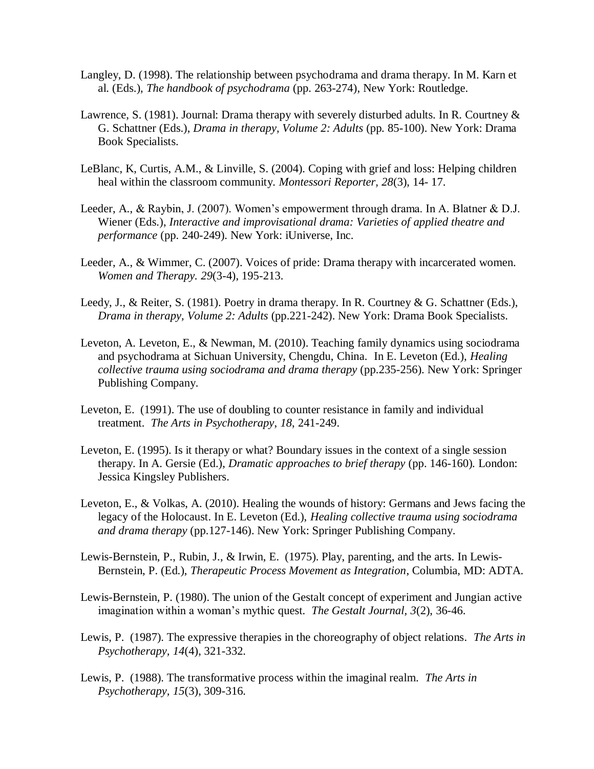- Langley, D. (1998). The relationship between psychodrama and drama therapy. In M. Karn et al. (Eds.), *The handbook of psychodrama* (pp. 263-274), New York: Routledge.
- Lawrence, S. (1981). Journal: Drama therapy with severely disturbed adults. In R. Courtney & G. Schattner (Eds.), *Drama in therapy, Volume 2: Adults* (pp. 85-100). New York: Drama Book Specialists.
- LeBlanc, K, Curtis, A.M., & Linville, S. (2004). Coping with grief and loss: Helping children heal within the classroom community. *Montessori Reporter, 28*(3), 14- 17.
- Leeder, A., & Raybin, J. (2007). Women's empowerment through drama. In A. Blatner & D.J. Wiener (Eds.), *Interactive and improvisational drama: Varieties of applied theatre and performance* (pp. 240-249). New York: iUniverse, Inc.
- Leeder, A., & Wimmer, C. (2007). Voices of pride: Drama therapy with incarcerated women. *Women and Therapy. 29*(3-4), 195-213.
- Leedy, J., & Reiter, S. (1981). Poetry in drama therapy. In R. Courtney & G. Schattner (Eds.), *Drama in therapy, Volume 2: Adults* (pp.221-242). New York: Drama Book Specialists.
- Leveton, A. Leveton, E., & Newman, M. (2010). Teaching family dynamics using sociodrama and psychodrama at Sichuan University, Chengdu, China. In E. Leveton (Ed.), *Healing collective trauma using sociodrama and drama therapy* (pp.235-256). New York: Springer Publishing Company.
- Leveton, E. (1991). The use of doubling to counter resistance in family and individual treatment*. The Arts in Psychotherapy*, *18*, 241-249.
- Leveton, E. (1995). Is it therapy or what? Boundary issues in the context of a single session therapy. In A. Gersie (Ed.), *Dramatic approaches to brief therapy* (pp. 146-160)*.* London: Jessica Kingsley Publishers.
- Leveton, E., & Volkas, A. (2010). Healing the wounds of history: Germans and Jews facing the legacy of the Holocaust. In E. Leveton (Ed.), *Healing collective trauma using sociodrama and drama therapy* (pp.127-146). New York: Springer Publishing Company.
- Lewis-Bernstein, P., Rubin, J., & Irwin, E. (1975). Play, parenting, and the arts*.* In Lewis-Bernstein, P. (Ed.), *Therapeutic Process Movement as Integration*, Columbia, MD: ADTA.
- Lewis-Bernstein, P. (1980). The union of the Gestalt concept of experiment and Jungian active imagination within a woman's mythic quest*. The Gestalt Journal, 3*(2), 36-46.
- Lewis, P. (1987). The expressive therapies in the choreography of object relations*. The Arts in Psychotherapy, 14*(4), 321-332.
- Lewis, P. (1988). The transformative process within the imaginal realm. *The Arts in Psychotherapy, 15*(3), 309-316.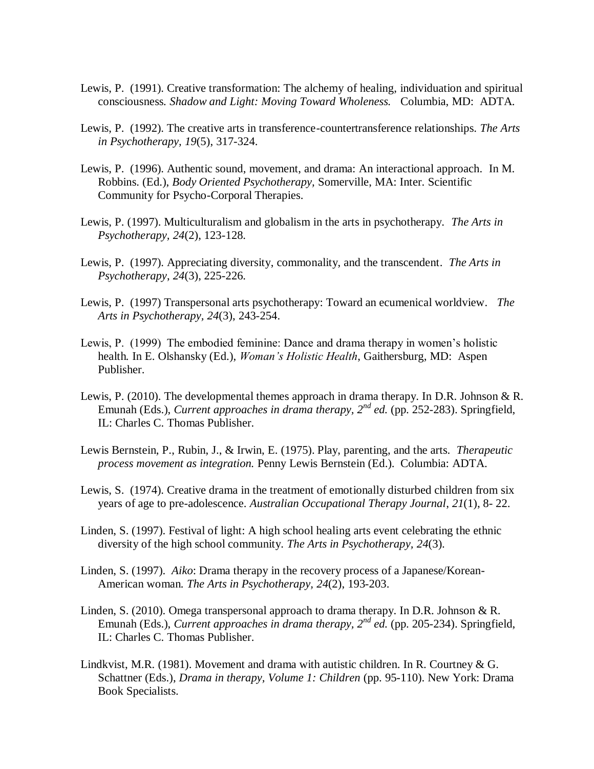- Lewis, P. (1991). Creative transformation: The alchemy of healing, individuation and spiritual consciousness*. Shadow and Light: Moving Toward Wholeness.* Columbia, MD: ADTA.
- Lewis, P. (1992). The creative arts in transference-countertransference relationships. *The Arts in Psychotherapy, 19*(5), 317-324.
- Lewis, P. (1996). Authentic sound, movement, and drama: An interactional approach*.* In M. Robbins. (Ed.), *Body Oriented Psychotherapy,* Somerville, MA: Inter. Scientific Community for Psycho-Corporal Therapies.
- Lewis, P. (1997). Multiculturalism and globalism in the arts in psychotherapy. *The Arts in Psychotherapy, 24*(2), 123-128.
- Lewis, P. (1997). Appreciating diversity, commonality, and the transcendent*. The Arts in Psychotherapy*, *24*(3), 225-226.
- Lewis, P. (1997) Transpersonal arts psychotherapy: Toward an ecumenical worldview*. The Arts in Psychotherapy, 24*(3), 243-254.
- Lewis, P. (1999) The embodied feminine: Dance and drama therapy in women's holistic health*.* In E. Olshansky (Ed.), *Woman"s Holistic Health*, Gaithersburg, MD: Aspen Publisher.
- Lewis, P. (2010). The developmental themes approach in drama therapy. In D.R. Johnson & R. Emunah (Eds.), *Current approaches in drama therapy, 2nd ed.* (pp. 252-283). Springfield, IL: Charles C. Thomas Publisher.
- Lewis Bernstein, P., Rubin, J., & Irwin, E. (1975). Play, parenting, and the arts. *Therapeutic process movement as integration.* Penny Lewis Bernstein (Ed.). Columbia: ADTA.
- Lewis, S. (1974). Creative drama in the treatment of emotionally disturbed children from six years of age to pre-adolescence. *Australian Occupational Therapy Journal*, *21*(1), 8- 22.
- Linden, S. (1997). Festival of light: A high school healing arts event celebrating the ethnic diversity of the high school community. *The Arts in Psychotherapy, 24*(3).
- Linden, S. (1997). *Aiko*: Drama therapy in the recovery process of a Japanese/Korean-American woman*. The Arts in Psychotherapy, 24*(2), 193-203.
- Linden, S. (2010). Omega transpersonal approach to drama therapy. In D.R. Johnson & R. Emunah (Eds.), *Current approaches in drama therapy, 2nd ed.* (pp. 205-234). Springfield, IL: Charles C. Thomas Publisher.
- Lindkvist, M.R. (1981). Movement and drama with autistic children. In R. Courtney  $& G$ . Schattner (Eds.), *Drama in therapy, Volume 1: Children* (pp. 95-110). New York: Drama Book Specialists.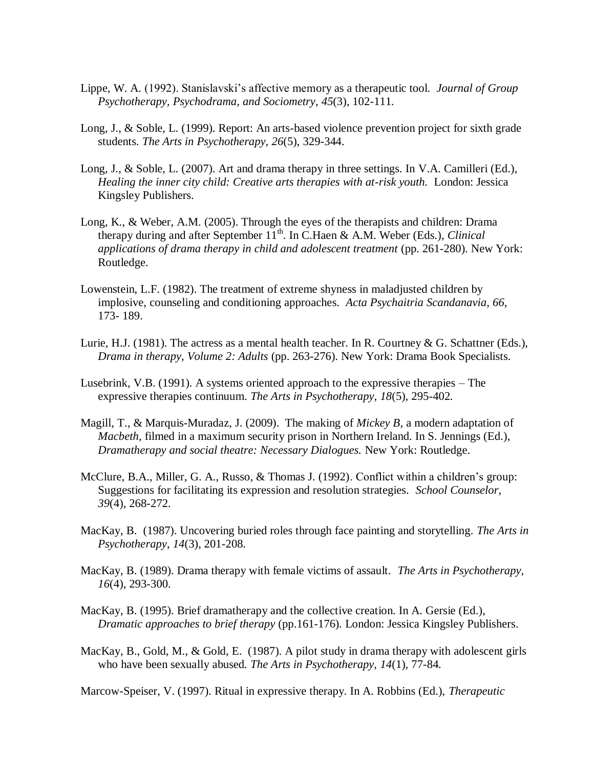- Lippe, W. A. (1992). Stanislavski's affective memory as a therapeutic tool. *Journal of Group Psychotherapy, Psychodrama, and Sociometry*, *45*(3), 102-111.
- Long, J., & Soble, L. (1999). Report: An arts-based violence prevention project for sixth grade students. *The Arts in Psychotherapy, 26*(5), 329-344.
- Long, J., & Soble, L. (2007). Art and drama therapy in three settings. In V.A. Camilleri (Ed.), *Healing the inner city child: Creative arts therapies with at-risk youth.* London: Jessica Kingsley Publishers.
- Long, K., & Weber, A.M. (2005). Through the eyes of the therapists and children: Drama therapy during and after September 11<sup>th</sup>. In C.Haen & A.M. Weber (Eds.), *Clinical applications of drama therapy in child and adolescent treatment* (pp. 261-280). New York: Routledge.
- Lowenstein, L.F. (1982). The treatment of extreme shyness in maladjusted children by implosive, counseling and conditioning approaches. *Acta Psychaitria Scandanavia, 66*, 173- 189.
- Lurie, H.J. (1981). The actress as a mental health teacher. In R. Courtney & G. Schattner (Eds.), *Drama in therapy, Volume 2: Adults* (pp. 263-276). New York: Drama Book Specialists.
- Lusebrink, V.B. (1991). A systems oriented approach to the expressive therapies The expressive therapies continuum. *The Arts in Psychotherapy, 18*(5), 295-402.
- Magill, T., & Marquis-Muradaz, J. (2009). The making of *Mickey B*, a modern adaptation of *Macbeth,* filmed in a maximum security prison in Northern Ireland. In S. Jennings (Ed.), *Dramatherapy and social theatre: Necessary Dialogues.* New York: Routledge.
- McClure, B.A., Miller, G. A., Russo, & Thomas J. (1992). Conflict within a children's group: Suggestions for facilitating its expression and resolution strategies. *School Counselor*, *39*(4), 268-272.
- MacKay, B.(1987). Uncovering buried roles through face painting and storytelling*. The Arts in Psychotherapy*, *14*(3), 201-208.
- MacKay, B. (1989). Drama therapy with female victims of assault. *The Arts in Psychotherapy, 16*(4), 293-300.
- MacKay, B. (1995). Brief dramatherapy and the collective creation. In A. Gersie (Ed.), *Dramatic approaches to brief therapy* (pp.161-176)*.* London: Jessica Kingsley Publishers.
- MacKay, B., Gold, M., & Gold, E. (1987). A pilot study in drama therapy with adolescent girls who have been sexually abused*. The Arts in Psychotherapy, 14*(1), 77-84.

Marcow-Speiser, V. (1997). Ritual in expressive therapy. In A. Robbins (Ed.), *Therapeutic*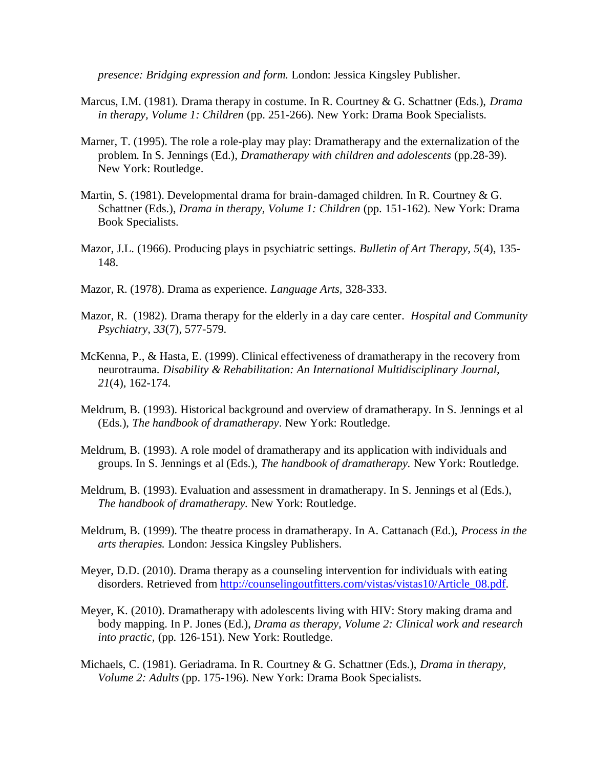*presence: Bridging expression and form.* London: Jessica Kingsley Publisher.

- Marcus, I.M. (1981). Drama therapy in costume. In R. Courtney & G. Schattner (Eds.), *Drama in therapy, Volume 1: Children* (pp. 251-266). New York: Drama Book Specialists.
- Marner, T. (1995). The role a role-play may play: Dramatherapy and the externalization of the problem. In S. Jennings (Ed.), *Dramatherapy with children and adolescents* (pp.28-39). New York: Routledge.
- Martin, S. (1981). Developmental drama for brain-damaged children. In R. Courtney & G. Schattner (Eds.), *Drama in therapy, Volume 1: Children* (pp. 151-162). New York: Drama Book Specialists.
- Mazor, J.L. (1966). Producing plays in psychiatric settings. *Bulletin of Art Therapy, 5*(4), 135- 148.
- Mazor, R. (1978). Drama as experience. *Language Arts,* 328-333.
- Mazor, R. (1982). Drama therapy for the elderly in a day care center*. Hospital and Community Psychiatry, 33*(7), 577-579.
- McKenna, P., & Hasta, E. (1999). Clinical effectiveness of dramatherapy in the recovery from neurotrauma. *Disability & Rehabilitation: An International Multidisciplinary Journal, 21*(4), 162-174.
- Meldrum, B. (1993). Historical background and overview of dramatherapy. In S. Jennings et al (Eds.), *The handbook of dramatherapy*. New York: Routledge.
- Meldrum, B. (1993). A role model of dramatherapy and its application with individuals and groups. In S. Jennings et al (Eds.), *The handbook of dramatherapy.* New York: Routledge.
- Meldrum, B. (1993). Evaluation and assessment in dramatherapy. In S. Jennings et al (Eds.), *The handbook of dramatherapy.* New York: Routledge.
- Meldrum, B. (1999). The theatre process in dramatherapy. In A. Cattanach (Ed.), *Process in the arts therapies.* London: Jessica Kingsley Publishers.
- Meyer, D.D. (2010). Drama therapy as a counseling intervention for individuals with eating disorders. Retrieved from [http://counselingoutfitters.com/vistas/vistas10/Article\\_08.pdf.](http://counselingoutfitters.com/vistas/vistas10/Article_08.pdf)
- Meyer, K. (2010). Dramatherapy with adolescents living with HIV: Story making drama and body mapping. In P. Jones (Ed.), *Drama as therapy, Volume 2: Clinical work and research into practic,* (pp. 126-151). New York: Routledge.
- Michaels, C. (1981). Geriadrama. In R. Courtney & G. Schattner (Eds.), *Drama in therapy, Volume 2: Adults* (pp. 175-196). New York: Drama Book Specialists.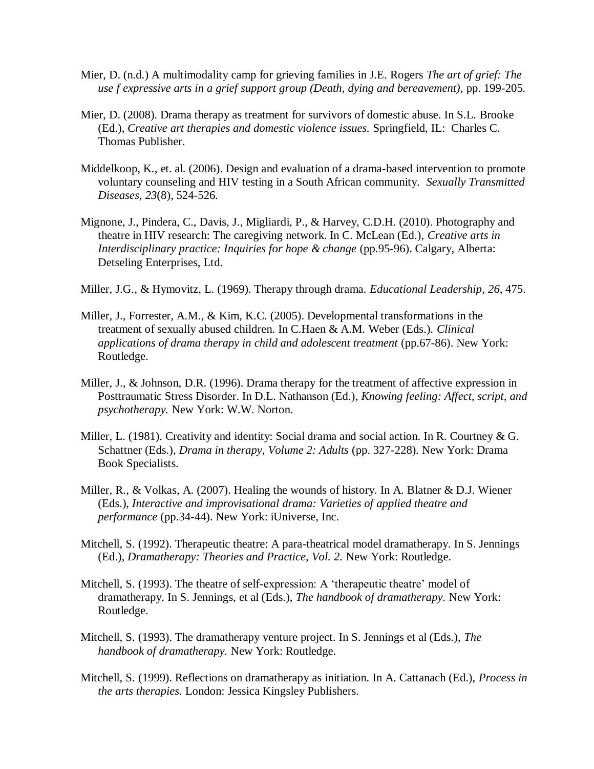- Mier, D. (n.d.) A multimodality camp for grieving families in J.E. Rogers *The art of grief: The use f expressive arts in a grief support group (Death, dying and bereavement),* pp. 199-205.
- Mier, D. (2008). Drama therapy as treatment for survivors of domestic abuse. In S.L. Brooke (Ed.), *Creative art therapies and domestic violence issues.* Springfield, IL: Charles C. Thomas Publisher.
- Middelkoop, K., et. al. (2006). Design and evaluation of a drama-based intervention to promote voluntary counseling and HIV testing in a South African community. *Sexually Transmitted Diseases, 23*(8), 524-526.
- Mignone, J., Pindera, C., Davis, J., Migliardi, P., & Harvey, C.D.H. (2010). Photography and theatre in HIV research: The caregiving network. In C. McLean (Ed.), *Creative arts in Interdisciplinary practice: Inquiries for hope & change* (pp.95-96). Calgary, Alberta: Detseling Enterprises, Ltd.
- Miller, J.G., & Hymovitz, L. (1969). Therapy through drama. *Educational Leadership*, *26*, 475.
- Miller, J., Forrester, A.M., & Kim, K.C. (2005). Developmental transformations in the treatment of sexually abused children. In C.Haen & A.M. Weber (Eds.). *Clinical applications of drama therapy in child and adolescent treatment* (pp.67-86). New York: Routledge.
- Miller, J., & Johnson, D.R. (1996). Drama therapy for the treatment of affective expression in Posttraumatic Stress Disorder. In D.L. Nathanson (Ed.), *Knowing feeling: Affect, script, and psychotherapy.* New York: W.W. Norton.
- Miller, L. (1981). Creativity and identity: Social drama and social action. In R. Courtney & G. Schattner (Eds.), *Drama in therapy, Volume 2: Adults* (pp. 327-228). New York: Drama Book Specialists.
- Miller, R., & Volkas, A. (2007). Healing the wounds of history. In A. Blatner & D.J. Wiener (Eds.), *Interactive and improvisational drama: Varieties of applied theatre and performance* (pp.34-44). New York: iUniverse, Inc.
- Mitchell, S. (1992). Therapeutic theatre: A para-theatrical model dramatherapy. In S. Jennings (Ed.), *Dramatherapy: Theories and Practice, Vol. 2.* New York: Routledge.
- Mitchell, S. (1993). The theatre of self-expression: A 'therapeutic theatre' model of dramatherapy. In S. Jennings, et al (Eds.), *The handbook of dramatherapy.* New York: Routledge.
- Mitchell, S. (1993). The dramatherapy venture project. In S. Jennings et al (Eds.), *The handbook of dramatherapy.* New York: Routledge.
- Mitchell, S. (1999). Reflections on dramatherapy as initiation. In A. Cattanach (Ed.), *Process in the arts therapies.* London: Jessica Kingsley Publishers.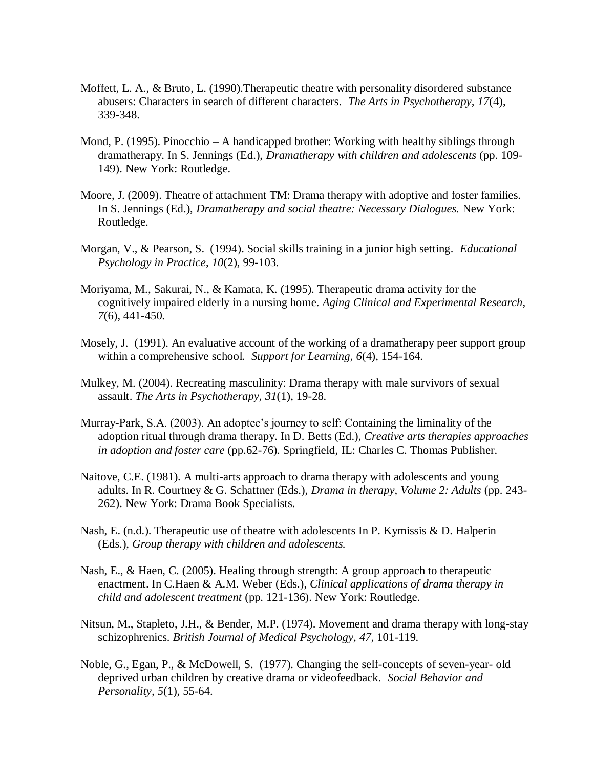- Moffett, L. A., & Bruto, L. (1990).Therapeutic theatre with personality disordered substance abusers: Characters in search of different characters*. The Arts in Psychotherapy, 17*(4), 339-348.
- Mond, P. (1995). Pinocchio A handicapped brother: Working with healthy siblings through dramatherapy. In S. Jennings (Ed.), *Dramatherapy with children and adolescents* (pp. 109- 149). New York: Routledge.
- Moore, J. (2009). Theatre of attachment TM: Drama therapy with adoptive and foster families. In S. Jennings (Ed.), *Dramatherapy and social theatre: Necessary Dialogues.* New York: Routledge.
- Morgan, V., & Pearson, S. (1994). Social skills training in a junior high setting*. Educational Psychology in Practice*, *10*(2), 99-103.
- Moriyama, M., Sakurai, N., & Kamata, K. (1995). Therapeutic drama activity for the cognitively impaired elderly in a nursing home. *Aging Clinical and Experimental Research, 7*(6), 441-450.
- Mosely, J. (1991). An evaluative account of the working of a dramatherapy peer support group within a comprehensive school. *Support for Learning*, *6*(4), 154-164.
- Mulkey, M. (2004). Recreating masculinity: Drama therapy with male survivors of sexual assault. *The Arts in Psychotherapy, 31*(1), 19-28.
- Murray-Park, S.A. (2003). An adoptee's journey to self: Containing the liminality of the adoption ritual through drama therapy. In D. Betts (Ed.), *Creative arts therapies approaches in adoption and foster care* (pp.62-76)*.* Springfield, IL: Charles C. Thomas Publisher.
- Naitove, C.E. (1981). A multi-arts approach to drama therapy with adolescents and young adults. In R. Courtney & G. Schattner (Eds.), *Drama in therapy, Volume 2: Adults* (pp. 243- 262). New York: Drama Book Specialists.
- Nash, E. (n.d.). Therapeutic use of theatre with adolescents In P. Kymissis & D. Halperin (Eds.), *Group therapy with children and adolescents.*
- Nash, E., & Haen, C. (2005). Healing through strength: A group approach to therapeutic enactment. In C.Haen & A.M. Weber (Eds.), *Clinical applications of drama therapy in child and adolescent treatment* (pp. 121-136). New York: Routledge.
- Nitsun, M., Stapleto, J.H., & Bender, M.P. (1974). Movement and drama therapy with long-stay schizophrenics. *British Journal of Medical Psychology, 47*, 101-119.
- Noble, G., Egan, P., & McDowell, S. (1977). Changing the self-concepts of seven-year- old deprived urban children by creative drama or videofeedback. *Social Behavior and Personality, 5*(1), 55-64.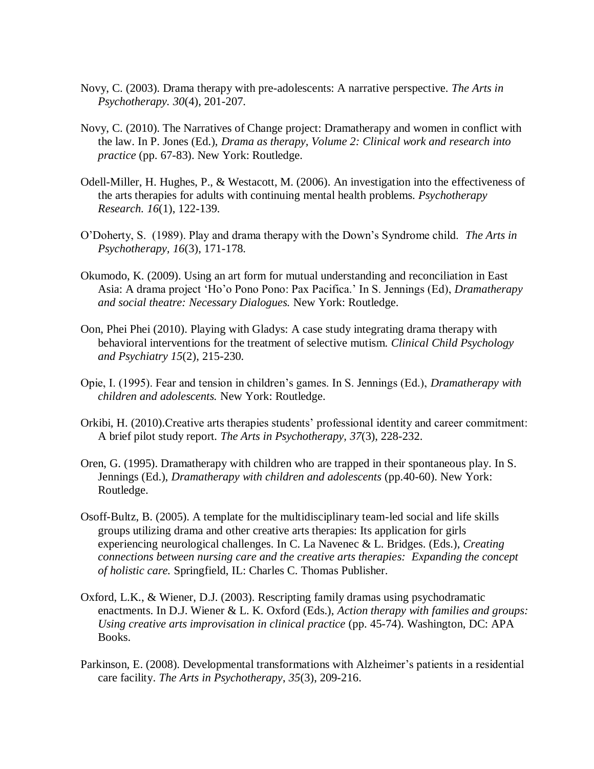- Novy, C. (2003). Drama therapy with pre-adolescents: A narrative perspective. *The Arts in Psychotherapy. 30*(4), 201-207.
- Novy, C. (2010). The Narratives of Change project: Dramatherapy and women in conflict with the law. In P. Jones (Ed.), *Drama as therapy, Volume 2: Clinical work and research into practice* (pp. 67-83). New York: Routledge.
- Odell-Miller, H. Hughes, P., & Westacott, M. (2006). An investigation into the effectiveness of the arts therapies for adults with continuing mental health problems. *Psychotherapy Research. 16*(1), 122-139.
- O'Doherty, S. (1989). Play and drama therapy with the Down's Syndrome child. *The Arts in Psychotherapy, 16*(3), 171-178.
- Okumodo, K. (2009). Using an art form for mutual understanding and reconciliation in East Asia: A drama project ‗Ho'o Pono Pono: Pax Pacifica.' In S. Jennings (Ed), *Dramatherapy and social theatre: Necessary Dialogues.* New York: Routledge.
- Oon, Phei Phei (2010). Playing with Gladys: A case study integrating drama therapy with behavioral interventions for the treatment of selective mutism. *Clinical Child Psychology and Psychiatry 15*(2), 215-230.
- Opie, I. (1995). Fear and tension in children's games. In S. Jennings (Ed.), *Dramatherapy with children and adolescents.* New York: Routledge.
- Orkibi, H. (2010)[.Creative arts therapies students' professional identity and career commitment:](http://csaweb111v.csa.com.er.lib.k-state.edu/ids70/view_record.php?id=2&recnum=1&log=from_res&SID=2krd1ml025thfkf51or5ip0uk0)  [A brief pilot study report.](http://csaweb111v.csa.com.er.lib.k-state.edu/ids70/view_record.php?id=2&recnum=1&log=from_res&SID=2krd1ml025thfkf51or5ip0uk0) *The Arts in Psychotherapy, 37*(3), 228-232.
- Oren, G. (1995). Dramatherapy with children who are trapped in their spontaneous play. In S. Jennings (Ed.), *Dramatherapy with children and adolescents* (pp.40-60). New York: Routledge.
- Osoff-Bultz, B. (2005). A template for the multidisciplinary team-led social and life skills groups utilizing drama and other creative arts therapies: Its application for girls experiencing neurological challenges. In C. La Navenec & L. Bridges. (Eds.), *Creating connections between nursing care and the creative arts therapies: Expanding the concept of holistic care.* Springfield, IL: Charles C. Thomas Publisher.
- Oxford, L.K., & Wiener, D.J. (2003). Rescripting family dramas using psychodramatic enactments. In D.J. Wiener & L. K. Oxford (Eds.), *Action therapy with families and groups: Using creative arts improvisation in clinical practice* (pp. 45-74). Washington, DC: APA Books.
- Parkinson, E. (2008). Developmental transformations with Alzheimer's patients in a residential care facility. *The Arts in Psychotherapy*, *35*(3), 209-216.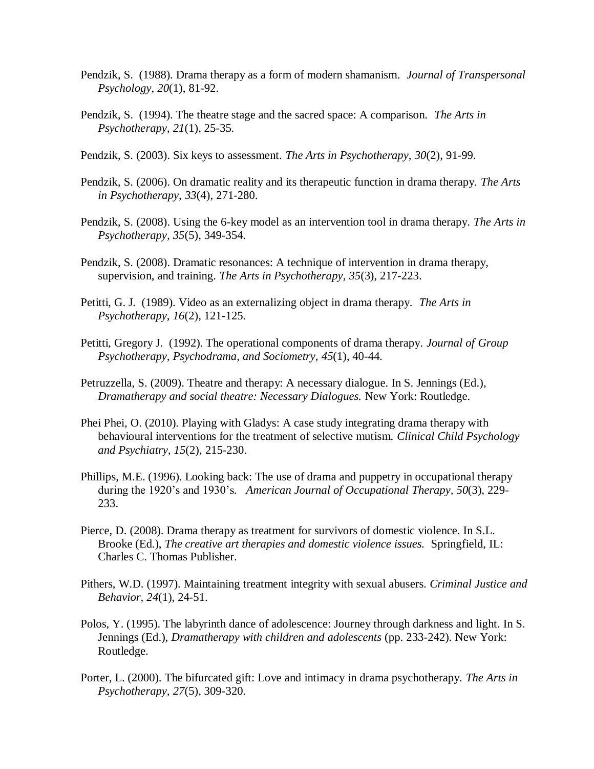- Pendzik, S. (1988). Drama therapy as a form of modern shamanism. *Journal of Transpersonal Psychology*, *20*(1), 81-92.
- Pendzik, S. (1994). The theatre stage and the sacred space: A comparison. *The Arts in Psychotherapy*, *21*(1), 25-35.
- Pendzik, S. (2003). Six keys to assessment. *The Arts in Psychotherapy, 30*(2), 91-99.
- Pendzik, S. (2006). On dramatic reality and its therapeutic function in drama therapy. *The Arts in Psychotherapy, 33*(4), 271-280.
- Pendzik, S. (2008). Using the 6-key model as an intervention tool in drama therapy. *The Arts in Psychotherapy, 35*(5), 349-354.
- Pendzik, S. (2008). Dramatic resonances: A technique of intervention in drama therapy, supervision, and training. *The Arts in Psychotherapy, 35*(3), 217-223.
- Petitti, G. J. (1989). Video as an externalizing object in drama therapy. *The Arts in Psychotherapy, 16*(2), 121-125.
- Petitti, Gregory J. (1992). The operational components of drama therapy*. Journal of Group Psychotherapy, Psychodrama, and Sociometry, 45*(1), 40-44.
- Petruzzella, S. (2009). Theatre and therapy: A necessary dialogue. In S. Jennings (Ed.), *Dramatherapy and social theatre: Necessary Dialogues.* New York: Routledge.
- Phei Phei, O. (2010). [Playing with Gladys: A case study integrating drama therapy with](http://csaweb111v.csa.com.er.lib.k-state.edu/ids70/view_record.php?id=2&recnum=2&log=from_res&SID=2krd1ml025thfkf51or5ip0uk0)  [behavioural interventions for the treatment of selective mutism.](http://csaweb111v.csa.com.er.lib.k-state.edu/ids70/view_record.php?id=2&recnum=2&log=from_res&SID=2krd1ml025thfkf51or5ip0uk0) *Clinical Child Psychology and Psychiatry, 15*(2), 215-230.
- Phillips, M.E. (1996). Looking back: The use of drama and puppetry in occupational therapy during the 1920's and 1930's*. American Journal of Occupational Therapy, 50*(3), 229- 233.
- Pierce, D. (2008). Drama therapy as treatment for survivors of domestic violence. In S.L. Brooke (Ed.), *The creative art therapies and domestic violence issues.* Springfield, IL: Charles C. Thomas Publisher.
- Pithers, W.D. (1997). Maintaining treatment integrity with sexual abusers. *Criminal Justice and Behavior, 24*(1), 24-51.
- Polos, Y. (1995). The labyrinth dance of adolescence: Journey through darkness and light. In S. Jennings (Ed.), *Dramatherapy with children and adolescents* (pp. 233-242). New York: Routledge.
- Porter, L. (2000). The bifurcated gift: Love and intimacy in drama psychotherapy. *The Arts in Psychotherapy, 27*(5), 309-320.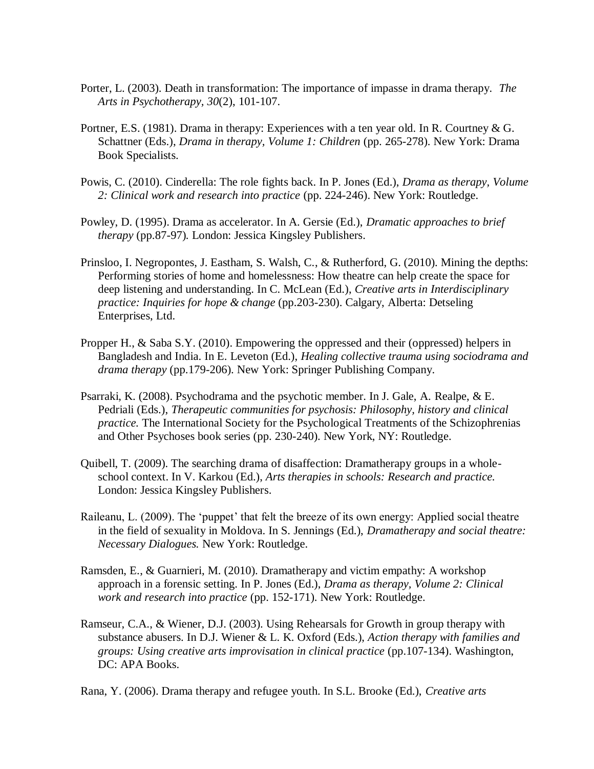- Porter, L. (2003). Death in transformation: The importance of impasse in drama therapy. *The Arts in Psychotherapy, 30*(2), 101-107.
- Portner, E.S. (1981). Drama in therapy: Experiences with a ten year old. In R. Courtney & G. Schattner (Eds.), *Drama in therapy, Volume 1: Children* (pp. 265-278). New York: Drama Book Specialists.
- Powis, C. (2010). Cinderella: The role fights back. In P. Jones (Ed.), *Drama as therapy, Volume 2: Clinical work and research into practice* (pp. 224-246). New York: Routledge.
- Powley, D. (1995). Drama as accelerator. In A. Gersie (Ed.), *Dramatic approaches to brief therapy* (pp.87-97)*.* London: Jessica Kingsley Publishers.
- Prinsloo, I. Negropontes, J. Eastham, S. Walsh, C., & Rutherford, G. (2010). Mining the depths: Performing stories of home and homelessness: How theatre can help create the space for deep listening and understanding. In C. McLean (Ed.), *Creative arts in Interdisciplinary practice: Inquiries for hope & change* (pp.203-230). Calgary, Alberta: Detseling Enterprises, Ltd.
- Propper H., & Saba S.Y. (2010). Empowering the oppressed and their (oppressed) helpers in Bangladesh and India. In E. Leveton (Ed.), *Healing collective trauma using sociodrama and drama therapy* (pp.179-206). New York: Springer Publishing Company.
- Psarraki, K. (2008). Psychodrama and the psychotic member. In J. Gale, A. Realpe, & E. Pedriali (Eds.), *Therapeutic communities for psychosis: Philosophy, history and clinical practice.* The International Society for the Psychological Treatments of the Schizophrenias and Other Psychoses book series (pp. 230-240). New York, NY: Routledge.
- Quibell, T. (2009). The searching drama of disaffection: Dramatherapy groups in a wholeschool context. In V. Karkou (Ed.), *Arts therapies in schools: Research and practice.*  London: Jessica Kingsley Publishers.
- Raileanu, L. (2009). The 'puppet' that felt the breeze of its own energy: Applied social theatre in the field of sexuality in Moldova. In S. Jennings (Ed.), *Dramatherapy and social theatre: Necessary Dialogues.* New York: Routledge.
- Ramsden, E., & Guarnieri, M. (2010). Dramatherapy and victim empathy: A workshop approach in a forensic setting. In P. Jones (Ed.), *Drama as therapy, Volume 2: Clinical work and research into practice* (pp. 152-171). New York: Routledge.
- Ramseur, C.A., & Wiener, D.J. (2003). Using Rehearsals for Growth in group therapy with substance abusers. In D.J. Wiener & L. K. Oxford (Eds.), *Action therapy with families and groups: Using creative arts improvisation in clinical practice* (pp.107-134). Washington, DC: APA Books.

Rana, Y. (2006). Drama therapy and refugee youth. In S.L. Brooke (Ed.), *Creative arts*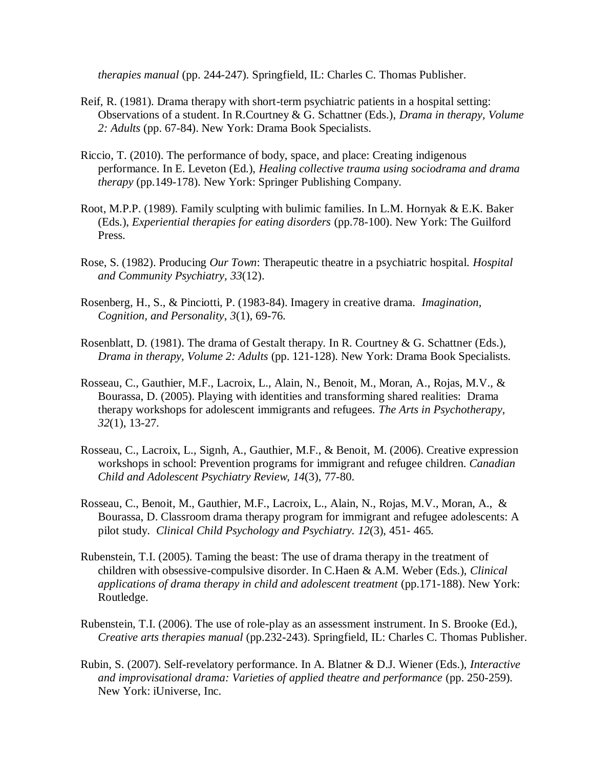*therapies manual* (pp. 244-247). Springfield, IL: Charles C. Thomas Publisher.

- Reif, R. (1981). Drama therapy with short-term psychiatric patients in a hospital setting: Observations of a student. In R.Courtney & G. Schattner (Eds.), *Drama in therapy, Volume 2: Adults* (pp. 67-84). New York: Drama Book Specialists.
- Riccio, T. (2010). The performance of body, space, and place: Creating indigenous performance. In E. Leveton (Ed.), *Healing collective trauma using sociodrama and drama therapy* (pp.149-178). New York: Springer Publishing Company.
- Root, M.P.P. (1989). Family sculpting with bulimic families. In L.M. Hornyak & E.K. Baker (Eds.), *Experiential therapies for eating disorders* (pp.78-100). New York: The Guilford Press.
- Rose, S. (1982). Producing *Our Town*: Therapeutic theatre in a psychiatric hospital. *Hospital and Community Psychiatry, 33*(12).
- Rosenberg, H., S., & Pinciotti, P. (1983-84). Imagery in creative drama. *Imagination, Cognition, and Personality*, *3*(1), 69-76.
- Rosenblatt, D. (1981). The drama of Gestalt therapy. In R. Courtney & G. Schattner (Eds.), *Drama in therapy, Volume 2: Adults* (pp. 121-128). New York: Drama Book Specialists.
- Rosseau, C., Gauthier, M.F., Lacroix, L., Alain, N., Benoit, M., Moran, A., Rojas, M.V., & Bourassa, D. (2005). Playing with identities and transforming shared realities: Drama therapy workshops for adolescent immigrants and refugees. *The Arts in Psychotherapy, 32*(1), 13-27.
- Rosseau, C., Lacroix, L., Signh, A., Gauthier, M.F., & Benoit, M. (2006). Creative expression workshops in school: Prevention programs for immigrant and refugee children. *Canadian Child and Adolescent Psychiatry Review, 14*(3), 77-80.
- Rosseau, C., Benoit, M., Gauthier, M.F., Lacroix, L., Alain, N., Rojas, M.V., Moran, A., & Bourassa, D. Classroom drama therapy program for immigrant and refugee adolescents: A pilot study. *Clinical Child Psychology and Psychiatry. 12*(3), 451- 465.
- Rubenstein, T.I. (2005). Taming the beast: The use of drama therapy in the treatment of children with obsessive-compulsive disorder. In C.Haen & A.M. Weber (Eds.), *Clinical applications of drama therapy in child and adolescent treatment* (pp.171-188). New York: Routledge.
- Rubenstein, T.I. (2006). The use of role-play as an assessment instrument. In S. Brooke (Ed.), *Creative arts therapies manual* (pp.232-243). Springfield, IL: Charles C. Thomas Publisher.
- Rubin, S. (2007). Self-revelatory performance. In A. Blatner & D.J. Wiener (Eds.), *Interactive and improvisational drama: Varieties of applied theatre and performance* (pp. 250-259). New York: iUniverse, Inc.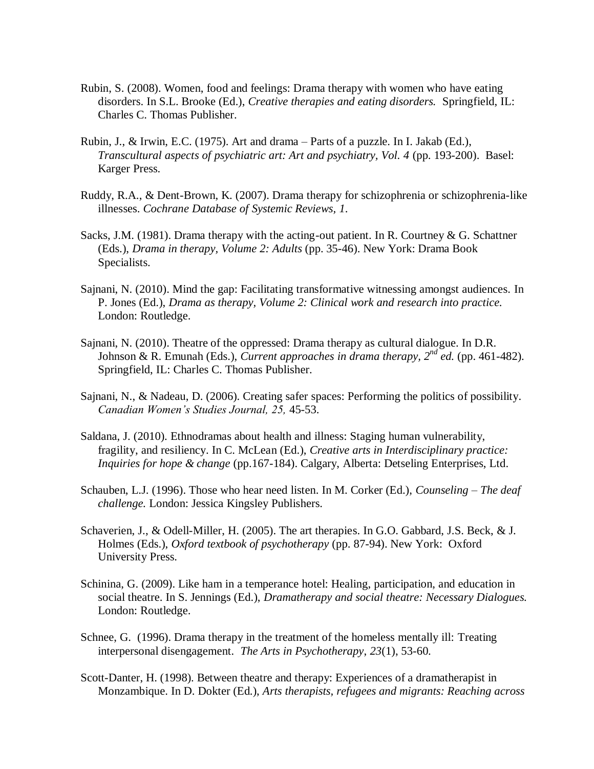- Rubin, S. (2008). Women, food and feelings: Drama therapy with women who have eating disorders. In S.L. Brooke (Ed.), *Creative therapies and eating disorders.* Springfield, IL: Charles C. Thomas Publisher.
- Rubin, J., & Irwin, E.C. (1975). Art and drama Parts of a puzzle. In I. Jakab (Ed.), *Transcultural aspects of psychiatric art: Art and psychiatry, Vol. 4 (pp. 193-200). Basel:* Karger Press.
- Ruddy, R.A., & Dent-Brown, K. (2007). Drama therapy for schizophrenia or schizophrenia-like illnesses. *Cochrane Database of Systemic Reviews, 1*.
- Sacks, J.M. (1981). Drama therapy with the acting-out patient. In R. Courtney & G. Schattner (Eds.), *Drama in therapy, Volume 2: Adults* (pp. 35-46). New York: Drama Book Specialists.
- Sajnani, N. (2010). Mind the gap: Facilitating transformative witnessing amongst audiences. In P. Jones (Ed.), *Drama as therapy, Volume 2: Clinical work and research into practice.* London: Routledge.
- Sajnani, N. (2010). Theatre of the oppressed: Drama therapy as cultural dialogue. In D.R. Johnson & R. Emunah (Eds.), *Current approaches in drama therapy*,  $2^{nd}$  *ed.* (pp. 461-482). Springfield, IL: Charles C. Thomas Publisher.
- Sajnani, N., & Nadeau, D. (2006). Creating safer spaces: Performing the politics of possibility. *Canadian Women"s Studies Journal, 25,* 45-53.
- Saldana, J. (2010). Ethnodramas about health and illness: Staging human vulnerability, fragility, and resiliency. In C. McLean (Ed.), *Creative arts in Interdisciplinary practice: Inquiries for hope & change* (pp.167-184). Calgary, Alberta: Detseling Enterprises, Ltd.
- Schauben, L.J. (1996). Those who hear need listen. In M. Corker (Ed.), *Counseling – The deaf challenge.* London: Jessica Kingsley Publishers.
- Schaverien, J., & Odell-Miller, H. (2005). The art therapies. In G.O. Gabbard, J.S. Beck, & J. Holmes (Eds.), *Oxford textbook of psychotherapy* (pp. 87-94). New York: Oxford University Press.
- Schinina, G. (2009). Like ham in a temperance hotel: Healing, participation, and education in social theatre. In S. Jennings (Ed.), *Dramatherapy and social theatre: Necessary Dialogues.*  London: Routledge.
- Schnee, G. (1996). Drama therapy in the treatment of the homeless mentally ill: Treating interpersonal disengagement*. The Arts in Psychotherapy*, *23*(1), 53-60.
- Scott-Danter, H. (1998). Between theatre and therapy: Experiences of a dramatherapist in Monzambique. In D. Dokter (Ed.), *Arts therapists, refugees and migrants: Reaching across*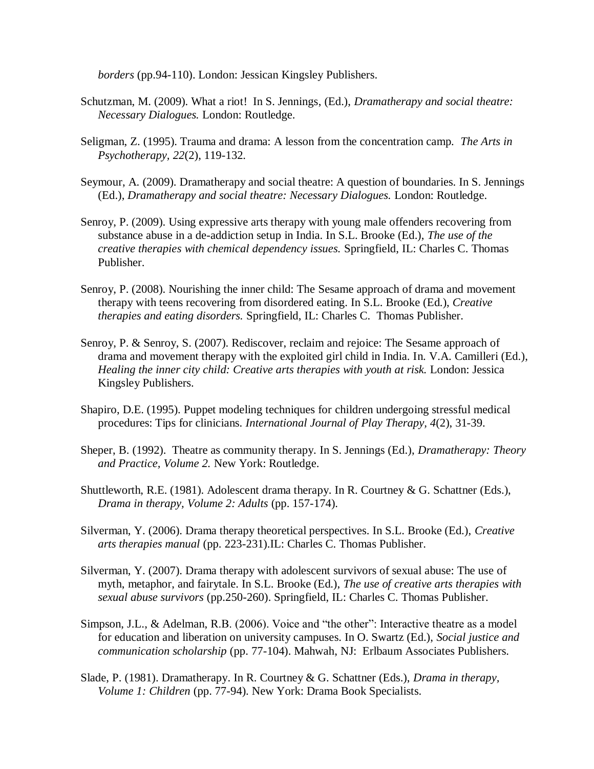*borders* (pp.94-110). London: Jessican Kingsley Publishers.

- Schutzman, M. (2009). What a riot! In S. Jennings, (Ed.), *Dramatherapy and social theatre: Necessary Dialogues.* London: Routledge.
- Seligman, Z. (1995). Trauma and drama: A lesson from the concentration camp*. The Arts in Psychotherapy, 22*(2), 119-132.
- Seymour, A. (2009). Dramatherapy and social theatre: A question of boundaries. In S. Jennings (Ed.), *Dramatherapy and social theatre: Necessary Dialogues.* London: Routledge.
- Senroy, P. (2009). Using expressive arts therapy with young male offenders recovering from substance abuse in a de-addiction setup in India. In S.L. Brooke (Ed.), *The use of the creative therapies with chemical dependency issues.* Springfield, IL: Charles C. Thomas Publisher.
- Senroy, P. (2008). Nourishing the inner child: The Sesame approach of drama and movement therapy with teens recovering from disordered eating. In S.L. Brooke (Ed.), *Creative therapies and eating disorders.* Springfield, IL: Charles C. Thomas Publisher.
- Senroy, P. & Senroy, S. (2007). Rediscover, reclaim and rejoice: The Sesame approach of drama and movement therapy with the exploited girl child in India. In. V.A. Camilleri (Ed.), *Healing the inner city child: Creative arts therapies with youth at risk.* London: Jessica Kingsley Publishers.
- Shapiro, D.E. (1995). Puppet modeling techniques for children undergoing stressful medical procedures: Tips for clinicians. *International Journal of Play Therapy, 4*(2), 31-39.
- Sheper, B. (1992). Theatre as community therapy. In S. Jennings (Ed.), *Dramatherapy: Theory and Practice, Volume 2.* New York: Routledge.
- Shuttleworth, R.E. (1981). Adolescent drama therapy. In R. Courtney & G. Schattner (Eds.), *Drama in therapy, Volume 2: Adults* (pp. 157-174).
- Silverman, Y. (2006). Drama therapy theoretical perspectives. In S.L. Brooke (Ed.), *Creative arts therapies manual* (pp. 223-231).IL: Charles C. Thomas Publisher.
- Silverman, Y. (2007). Drama therapy with adolescent survivors of sexual abuse: The use of myth, metaphor, and fairytale. In S.L. Brooke (Ed.), *The use of creative arts therapies with sexual abuse survivors* (pp.250-260). Springfield, IL: Charles C. Thomas Publisher.
- Simpson, J.L.,  $\&$  Adelman, R.B. (2006). Voice and "the other": Interactive theatre as a model for education and liberation on university campuses. In O. Swartz (Ed.), *Social justice and communication scholarship* (pp. 77-104). Mahwah, NJ: Erlbaum Associates Publishers.
- Slade, P. (1981). Dramatherapy. In R. Courtney & G. Schattner (Eds.), *Drama in therapy, Volume 1: Children* (pp. 77-94). New York: Drama Book Specialists.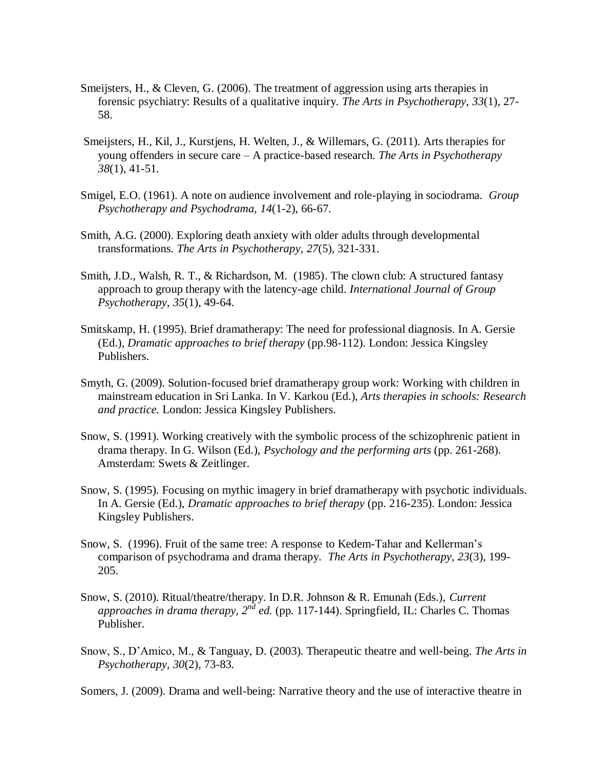- Smeijsters, H., & Cleven, G. (2006). The treatment of aggression using arts therapies in forensic psychiatry: Results of a qualitative inquiry. *The Arts in Psychotherapy, 33*(1), 27- 58.
- Smeijsters, H., Kil, J., Kurstjens, H. Welten, J., & Willemars, G. (2011). Arts therapies for young offenders in secure care – A practice-based research. *The Arts in Psychotherapy 38*(1), 41-51.
- Smigel, E.O. (1961). A note on audience involvement and role-playing in sociodrama. *Group Psychotherapy and Psychodrama, 14*(1-2), 66-67.
- Smith, A.G. (2000). Exploring death anxiety with older adults through developmental transformations. *The Arts in Psychotherapy, 27*(5), 321-331.
- Smith, J.D., Walsh, R. T., & Richardson, M. (1985). The clown club: A structured fantasy approach to group therapy with the latency-age child. *International Journal of Group Psychotherapy, 35*(1), 49-64.
- Smitskamp, H. (1995). Brief dramatherapy: The need for professional diagnosis. In A. Gersie (Ed.), *Dramatic approaches to brief therapy* (pp.98-112)*.* London: Jessica Kingsley Publishers.
- Smyth, G. (2009). Solution-focused brief dramatherapy group work: Working with children in mainstream education in Sri Lanka. In V. Karkou (Ed.), *Arts therapies in schools: Research and practice.* London: Jessica Kingsley Publishers.
- Snow, S. (1991). Working creatively with the symbolic process of the schizophrenic patient in drama therapy. In G. Wilson (Ed.), *Psychology and the performing arts* (pp. 261-268). Amsterdam: Swets & Zeitlinger.
- Snow, S. (1995). Focusing on mythic imagery in brief dramatherapy with psychotic individuals. In A. Gersie (Ed.), *Dramatic approaches to brief therapy* (pp. 216-235). London: Jessica Kingsley Publishers.
- Snow, S. (1996). Fruit of the same tree: A response to Kedem-Tahar and Kellerman's comparison of psychodrama and drama therapy*. The Arts in Psychotherapy, 23*(3), 199- 205.
- Snow, S. (2010). Ritual/theatre/therapy. In D.R. Johnson & R. Emunah (Eds.), *Current approaches in drama therapy, 2nd ed.* (pp. 117-144). Springfield, IL: Charles C. Thomas Publisher.
- Snow, S., D'Amico, M., & Tanguay, D. (2003). Therapeutic theatre and well-being. *The Arts in Psychotherapy, 30*(2), 73-83.

Somers, J. (2009). Drama and well-being: Narrative theory and the use of interactive theatre in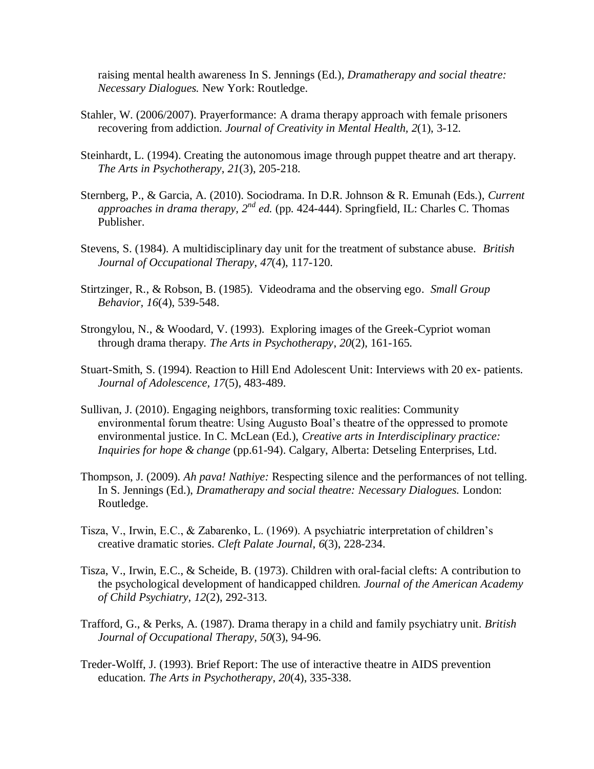raising mental health awareness In S. Jennings (Ed.), *Dramatherapy and social theatre: Necessary Dialogues.* New York: Routledge.

- Stahler, W. (2006/2007). Prayerformance: A drama therapy approach with female prisoners recovering from addiction. *Journal of Creativity in Mental Health, 2*(1), 3-12.
- Steinhardt, L. (1994). Creating the autonomous image through puppet theatre and art therapy. *The Arts in Psychotherapy*, *21*(3), 205-218.
- Sternberg, P., & Garcia, A. (2010). Sociodrama. In D.R. Johnson & R. Emunah (Eds.), *Current approaches in drama therapy, 2nd ed.* (pp. 424-444). Springfield, IL: Charles C. Thomas Publisher.
- Stevens, S. (1984). A multidisciplinary day unit for the treatment of substance abuse. *British Journal of Occupational Therapy*, *47*(4), 117-120.
- Stirtzinger, R., & Robson, B. (1985). Videodrama and the observing ego*. Small Group Behavior, 16*(4), 539-548.
- Strongylou, N., & Woodard, V. (1993). Exploring images of the Greek-Cypriot woman through drama therapy*. The Arts in Psychotherapy*, *20*(2), 161-165.
- Stuart-Smith, S. (1994). Reaction to Hill End Adolescent Unit: Interviews with 20 ex- patients. *Journal of Adolescence, 17*(5), 483-489.
- Sullivan, J. (2010). Engaging neighbors, transforming toxic realities: Community environmental forum theatre: Using Augusto Boal's theatre of the oppressed to promote environmental justice. In C. McLean (Ed.), *Creative arts in Interdisciplinary practice: Inquiries for hope & change* (pp.61-94). Calgary, Alberta: Detseling Enterprises, Ltd.
- Thompson, J. (2009). *Ah pava! Nathiye:* Respecting silence and the performances of not telling. In S. Jennings (Ed.), *Dramatherapy and social theatre: Necessary Dialogues.* London: Routledge.
- Tisza, V., Irwin, E.C., & Zabarenko, L. (1969). A psychiatric interpretation of children's creative dramatic stories. *Cleft Palate Journal*, *6*(3), 228-234.
- Tisza, V., Irwin, E.C., & Scheide, B. (1973). Children with oral-facial clefts: A contribution to the psychological development of handicapped children. *Journal of the American Academy of Child Psychiatry, 12*(2), 292-313.
- Trafford, G., & Perks, A. (1987). Drama therapy in a child and family psychiatry unit. *British Journal of Occupational Therapy, 50*(3), 94-96.
- Treder-Wolff, J. (1993). Brief Report: The use of interactive theatre in AIDS prevention education. *The Arts in Psychotherapy*, *20*(4), 335-338.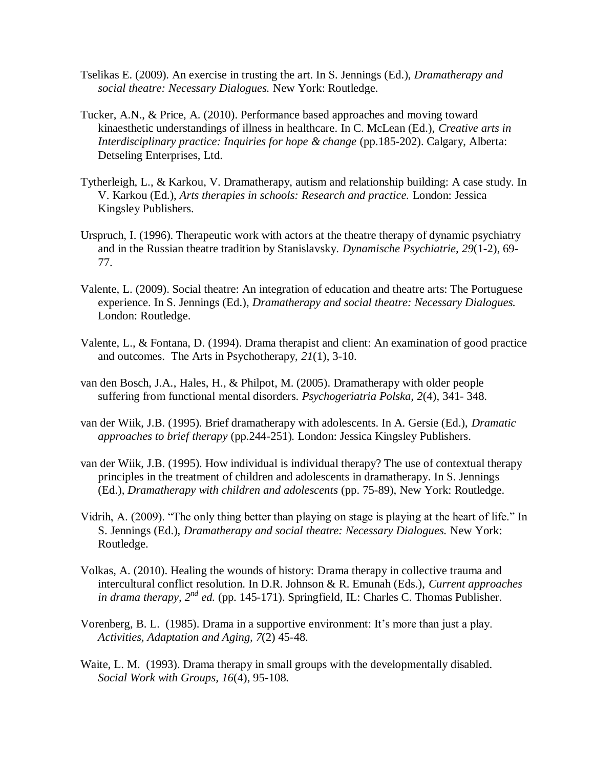- Tselikas E. (2009). An exercise in trusting the art. In S. Jennings (Ed.), *Dramatherapy and social theatre: Necessary Dialogues.* New York: Routledge.
- Tucker, A.N., & Price, A. (2010). Performance based approaches and moving toward kinaesthetic understandings of illness in healthcare. In C. McLean (Ed.), *Creative arts in Interdisciplinary practice: Inquiries for hope & change* (pp.185-202). Calgary, Alberta: Detseling Enterprises, Ltd.
- Tytherleigh, L., & Karkou, V. Dramatherapy, autism and relationship building: A case study. In V. Karkou (Ed.), *Arts therapies in schools: Research and practice.* London: Jessica Kingsley Publishers.
- Urspruch, I. (1996). Therapeutic work with actors at the theatre therapy of dynamic psychiatry and in the Russian theatre tradition by Stanislavsky. *Dynamische Psychiatrie, 29*(1-2), 69- 77.
- Valente, L. (2009). Social theatre: An integration of education and theatre arts: The Portuguese experience. In S. Jennings (Ed.), *Dramatherapy and social theatre: Necessary Dialogues.*  London: Routledge.
- Valente, L., & Fontana, D. (1994). Drama therapist and client: An examination of good practice and outcomes. The Arts in Psychotherapy, *21*(1), 3-10.
- van den Bosch, J.A., Hales, H., & Philpot, M. (2005). Dramatherapy with older people suffering from functional mental disorders. *Psychogeriatria Polska, 2*(4), 341- 348.
- van der Wiik, J.B. (1995). Brief dramatherapy with adolescents. In A. Gersie (Ed.), *Dramatic approaches to brief therapy* (pp.244-251)*.* London: Jessica Kingsley Publishers.
- van der Wiik, J.B. (1995). How individual is individual therapy? The use of contextual therapy principles in the treatment of children and adolescents in dramatherapy. In S. Jennings (Ed.), *Dramatherapy with children and adolescents* (pp. 75-89), New York: Routledge.
- Vidrih, A. (2009). "The only thing better than playing on stage is playing at the heart of life." In S. Jennings (Ed.), *Dramatherapy and social theatre: Necessary Dialogues.* New York: Routledge.
- Volkas, A. (2010). Healing the wounds of history: Drama therapy in collective trauma and intercultural conflict resolution. In D.R. Johnson & R. Emunah (Eds.), *Current approaches in drama therapy, 2<sup>nd</sup> ed.* (pp. 145-171). Springfield, IL: Charles C. Thomas Publisher.
- Vorenberg, B. L. (1985). Drama in a supportive environment: It's more than just a play. *Activities, Adaptation and Aging, 7*(2) 45-48.
- Waite, L. M. (1993). Drama therapy in small groups with the developmentally disabled. *Social Work with Groups, 16*(4), 95-108.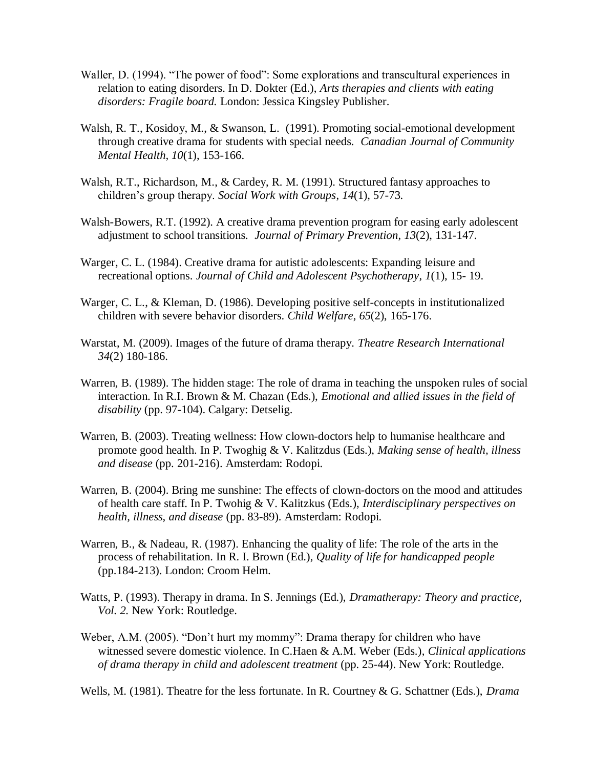- Waller, D. (1994). "The power of food": Some explorations and transcultural experiences in relation to eating disorders. In D. Dokter (Ed.), *Arts therapies and clients with eating disorders: Fragile board.* London: Jessica Kingsley Publisher.
- Walsh, R. T., Kosidoy, M., & Swanson, L. (1991). Promoting social-emotional development through creative drama for students with special needs. *Canadian Journal of Community Mental Health, 10*(1), 153-166.
- Walsh, R.T., Richardson, M., & Cardey, R. M. (1991). Structured fantasy approaches to children's group therapy. *Social Work with Groups*, *14*(1), 57-73.
- Walsh-Bowers, R.T. (1992). A creative drama prevention program for easing early adolescent adjustment to school transitions*. Journal of Primary Prevention*, *13*(2), 131-147.
- Warger, C. L. (1984). Creative drama for autistic adolescents: Expanding leisure and recreational options. *Journal of Child and Adolescent Psychotherapy*, *1*(1), 15- 19.
- Warger, C. L., & Kleman, D. (1986). Developing positive self-concepts in institutionalized children with severe behavior disorders. *Child Welfare*, *65*(2), 165-176.
- Warstat, M. (2009). Images of the future of drama therapy. *Theatre Research International 34*(2) 180-186.
- Warren, B. (1989). The hidden stage: The role of drama in teaching the unspoken rules of social interaction. In R.I. Brown & M. Chazan (Eds.), *Emotional and allied issues in the field of disability* (pp. 97-104). Calgary: Detselig.
- Warren, B. (2003). Treating wellness: How clown-doctors help to humanise healthcare and promote good health. In P. Twoghig & V. Kalitzdus (Eds.), *Making sense of health, illness and disease* (pp. 201-216). Amsterdam: Rodopi.
- Warren, B. (2004). Bring me sunshine: The effects of clown-doctors on the mood and attitudes of health care staff. In P. Twohig & V. Kalitzkus (Eds.), *Interdisciplinary perspectives on health, illness, and disease* (pp. 83-89). Amsterdam: Rodopi.
- Warren, B., & Nadeau, R. (1987). Enhancing the quality of life: The role of the arts in the process of rehabilitation. In R. I. Brown (Ed.), *Quality of life for handicapped people*  (pp.184-213). London: Croom Helm.
- Watts, P. (1993). Therapy in drama. In S. Jennings (Ed.), *Dramatherapy: Theory and practice, Vol. 2.* New York: Routledge.
- Weber, A.M. (2005). "Don't hurt my mommy": Drama therapy for children who have witnessed severe domestic violence. In C.Haen & A.M. Weber (Eds.), *Clinical applications of drama therapy in child and adolescent treatment* (pp. 25-44). New York: Routledge.

Wells, M. (1981). Theatre for the less fortunate. In R. Courtney & G. Schattner (Eds.), *Drama*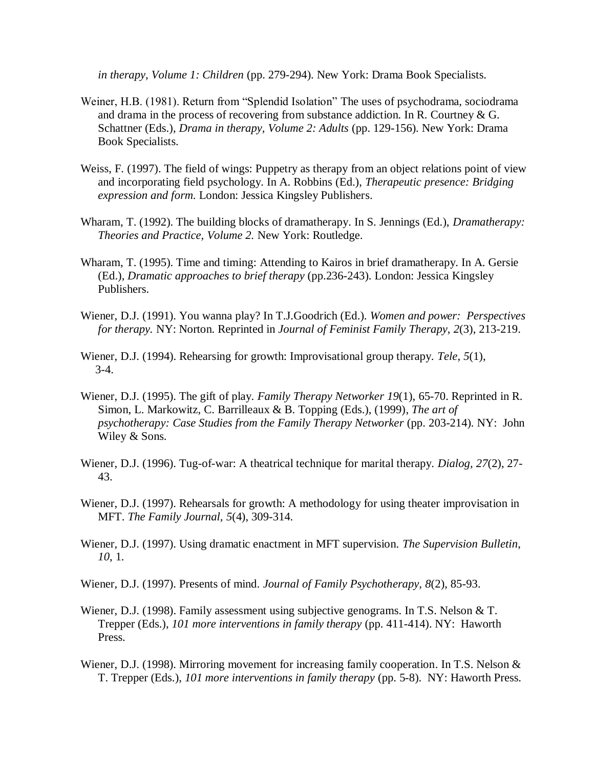*in therapy, Volume 1: Children* (pp. 279-294). New York: Drama Book Specialists.

- Weiner, H.B. (1981). Return from "Splendid Isolation" The uses of psychodrama, sociodrama and drama in the process of recovering from substance addiction. In R. Courtney & G. Schattner (Eds.), *Drama in therapy, Volume 2: Adults* (pp. 129-156). New York: Drama Book Specialists.
- Weiss, F. (1997). The field of wings: Puppetry as therapy from an object relations point of view and incorporating field psychology. In A. Robbins (Ed.), *Therapeutic presence: Bridging expression and form.* London: Jessica Kingsley Publishers.
- Wharam, T. (1992). The building blocks of dramatherapy. In S. Jennings (Ed.), *Dramatherapy: Theories and Practice, Volume 2.* New York: Routledge.
- Wharam, T. (1995). Time and timing: Attending to Kairos in brief dramatherapy. In A. Gersie (Ed.), *Dramatic approaches to brief therapy* (pp.236-243)*.* London: Jessica Kingsley Publishers.
- Wiener, D.J. (1991). You wanna play? In T.J.Goodrich (Ed.). *Women and power: Perspectives for therapy.* NY: Norton. Reprinted in *Journal of Feminist Family Therapy, 2*(3), 213-219.
- Wiener, D.J. (1994). Rehearsing for growth: Improvisational group therapy. *Tele*, *5*(1), 3-4.
- Wiener, D.J. (1995). The gift of play. *Family Therapy Networker 19*(1), 65-70. Reprinted in R. Simon, L. Markowitz, C. Barrilleaux & B. Topping (Eds.), (1999), *The art of psychotherapy: Case Studies from the Family Therapy Networker* (pp. 203-214)*.* NY: John Wiley & Sons.
- Wiener, D.J. (1996). Tug-of-war: A theatrical technique for marital therapy. *Dialog, 27*(2), 27- 43.
- Wiener, D.J. (1997). Rehearsals for growth: A methodology for using theater improvisation in MFT. *The Family Journal, 5*(4), 309-314.
- Wiener, D.J. (1997). Using dramatic enactment in MFT supervision. *The Supervision Bulletin*, *10*, 1.
- Wiener, D.J. (1997). Presents of mind. *Journal of Family Psychotherapy, 8*(2), 85-93.
- Wiener, D.J. (1998). Family assessment using subjective genograms. In T.S. Nelson  $&\sigma$  T. Trepper (Eds.), *101 more interventions in family therapy* (pp. 411-414). NY: Haworth Press.
- Wiener, D.J. (1998). Mirroring movement for increasing family cooperation. In T.S. Nelson & T. Trepper (Eds.), *101 more interventions in family therapy* (pp. 5-8). NY: Haworth Press.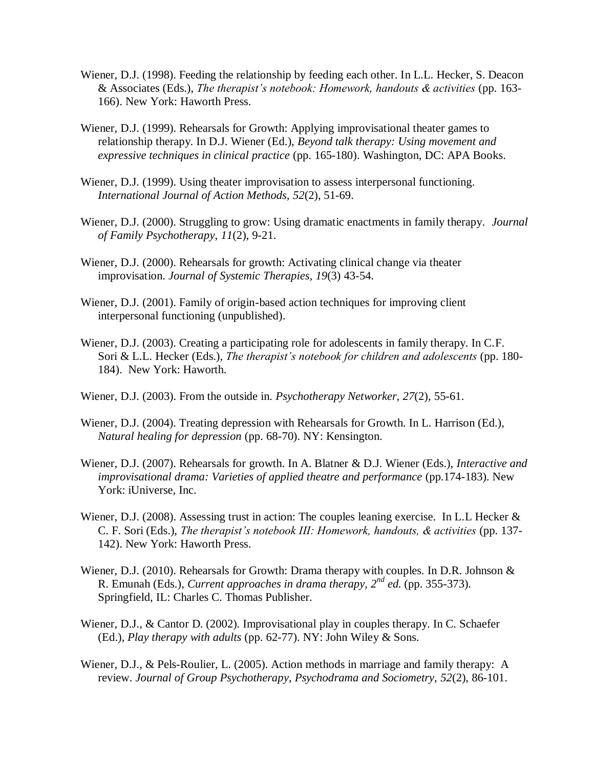- Wiener, D.J. (1998). Feeding the relationship by feeding each other. In L.L. Hecker, S. Deacon & Associates (Eds.), *The therapist"s notebook: Homework, handouts & activities* (pp. 163- 166). New York: Haworth Press.
- Wiener, D.J. (1999). Rehearsals for Growth: Applying improvisational theater games to relationship therapy. In D.J. Wiener (Ed.), *Beyond talk therapy: Using movement and expressive techniques in clinical practice* (pp. 165-180). Washington, DC: APA Books.
- Wiener, D.J. (1999). Using theater improvisation to assess interpersonal functioning. *International Journal of Action Methods, 52*(2), 51-69.
- Wiener, D.J. (2000). Struggling to grow: Using dramatic enactments in family therapy. *Journal of Family Psychotherapy*, *11*(2), 9-21.
- Wiener, D.J. (2000). Rehearsals for growth: Activating clinical change via theater improvisation. *Journal of Systemic Therapies, 19*(3) 43-54.
- Wiener, D.J. (2001). Family of origin-based action techniques for improving client interpersonal functioning (unpublished).
- Wiener, D.J. (2003). Creating a participating role for adolescents in family therapy. In C.F. Sori & L.L. Hecker (Eds.), *The therapist's notebook for children and adolescents* (pp. 180-184). New York: Haworth.
- Wiener, D.J. (2003). From the outside in. *Psychotherapy Networker, 27*(2), 55-61.
- Wiener, D.J. (2004). Treating depression with Rehearsals for Growth. In L. Harrison (Ed.), *Natural healing for depression* (pp. 68-70). NY: Kensington.
- Wiener, D.J. (2007). Rehearsals for growth. In A. Blatner & D.J. Wiener (Eds.), *Interactive and improvisational drama: Varieties of applied theatre and performance (pp.174-183).* New York: iUniverse, Inc.
- Wiener, D.J. (2008). Assessing trust in action: The couples leaning exercise. In L.L Hecker & C. F. Sori (Eds.), *The therapist"s notebook III: Homework, handouts, & activities* (pp. 137- 142). New York: Haworth Press.
- Wiener, D.J. (2010). Rehearsals for Growth: Drama therapy with couples. In D.R. Johnson & R. Emunah (Eds.), *Current approaches in drama therapy, 2nd ed.* (pp. 355-373). Springfield, IL: Charles C. Thomas Publisher.
- Wiener, D.J., & Cantor D. (2002). Improvisational play in couples therapy. In C. Schaefer (Ed.), *Play therapy with adults* (pp. 62-77). NY: John Wiley & Sons.
- Wiener, D.J., & Pels-Roulier, L. (2005). Action methods in marriage and family therapy: A review. *Journal of Group Psychotherapy, Psychodrama and Sociometry, 52*(2), 86-101.